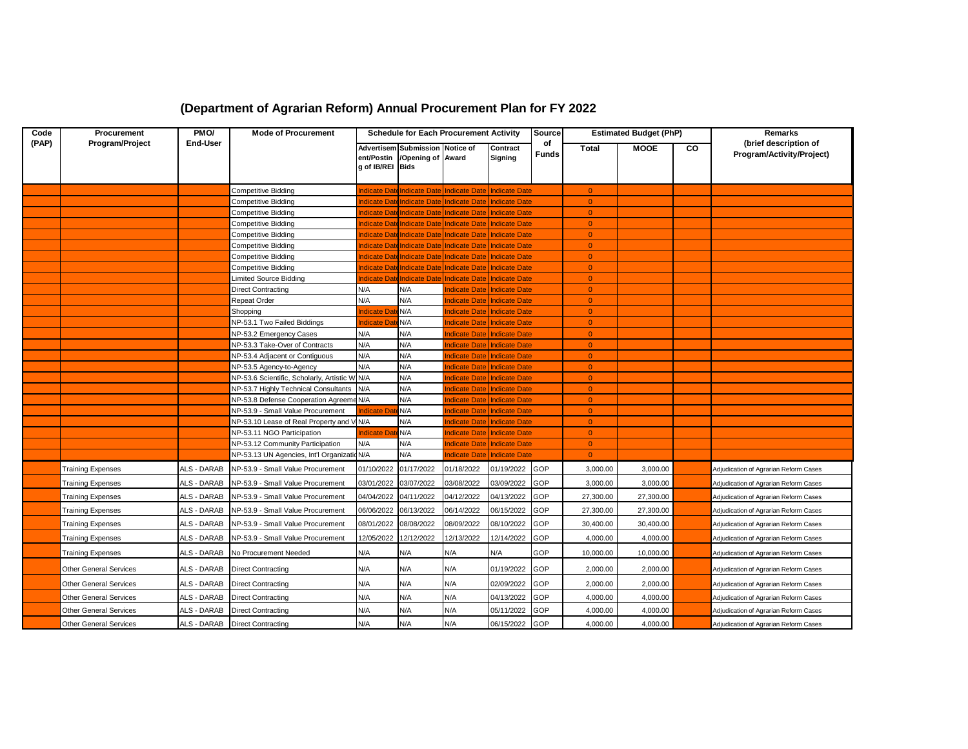| (Department of Agrarian Reform) Annual Procurement Plan for FY 2022 |
|---------------------------------------------------------------------|
|---------------------------------------------------------------------|

| Code  | <b>Procurement</b>       | PMO/            | <b>Mode of Procurement</b>                    | <b>Schedule for Each Procurement Activity</b> |                                                                 |                                                        | Source<br><b>Estimated Budget (PhP)</b> |                    |                |             | Remarks |                                                    |
|-------|--------------------------|-----------------|-----------------------------------------------|-----------------------------------------------|-----------------------------------------------------------------|--------------------------------------------------------|-----------------------------------------|--------------------|----------------|-------------|---------|----------------------------------------------------|
| (PAP) | Program/Project          | <b>End-User</b> |                                               | g of IB/REI Bids                              | Advertisem Submission Notice of<br>ent/Postin /Opening of Award |                                                        | Contract<br>Signing                     | of<br><b>Funds</b> | <b>Total</b>   | <b>MOOE</b> | CO      | (brief description of<br>Program/Activity/Project) |
|       |                          |                 | Competitive Bidding                           |                                               |                                                                 | ndicate Date Indicate Date Indicate Date Indicate Date |                                         |                    | $\overline{0}$ |             |         |                                                    |
|       |                          |                 | Competitive Bidding                           | ndicate Dat                                   | <b>Indicate Date</b>                                            | Indicate Date                                          | <b>Indicate Date</b>                    |                    | $\overline{0}$ |             |         |                                                    |
|       |                          |                 | Competitive Bidding                           | ndicate Dat                                   | <b>Indicate Date</b>                                            | <b>Indicate Date</b>                                   | <b>Indicate Date</b>                    |                    | $\Omega$       |             |         |                                                    |
|       |                          |                 | Competitive Bidding                           | ndicate Da                                    | <b>Indicate Date</b>                                            | <b>Indicate Date</b>                                   | <b>Indicate Date</b>                    |                    | $\overline{0}$ |             |         |                                                    |
|       |                          |                 | Competitive Bidding                           | ndicate Dat                                   | <b>Indicate Date</b>                                            | Indicate Date                                          | Indicate Date                           |                    | $\Omega$       |             |         |                                                    |
|       |                          |                 | Competitive Bidding                           | <b>ndicate</b> Da                             | <b>Indicate Date</b>                                            | <b>Indicate Date</b>                                   | <b>Indicate Date</b>                    |                    | $\overline{0}$ |             |         |                                                    |
|       |                          |                 | Competitive Bidding                           | <b>ndicate</b> Da                             | ndicate Dat                                                     | ndicate Date                                           | <b>Indicate Date</b>                    |                    | $\overline{0}$ |             |         |                                                    |
|       |                          |                 | Competitive Bidding                           | ndicate Da                                    | <b>Indicate Date</b>                                            | <b>Indicate Date</b>                                   | <b>Indicate Date</b>                    |                    | $\overline{0}$ |             |         |                                                    |
|       |                          |                 | Limited Source Bidding                        | ndicate Da                                    | <b>Indicate Dat</b>                                             | <b>ndicate Date</b>                                    | <b>Indicate Date</b>                    |                    | $\Omega$       |             |         |                                                    |
|       |                          |                 | <b>Direct Contracting</b>                     | N/A                                           | N/A                                                             | <b>ndicate Date</b>                                    | <b>Indicate Date</b>                    |                    | $\overline{0}$ |             |         |                                                    |
|       |                          |                 | Repeat Order                                  | N/A                                           | N/A                                                             | ndicate Date                                           | <b>Indicate Date</b>                    |                    | $\overline{0}$ |             |         |                                                    |
|       |                          |                 | Shopping                                      | ndicate Da                                    | N/A                                                             | <b>ndicate Date</b>                                    | <b>Indicate Date</b>                    |                    | $\overline{0}$ |             |         |                                                    |
|       |                          |                 | NP-53.1 Two Failed Biddings                   | ndicate Da                                    | N/A                                                             | ndicate Date                                           | <b>Indicate Date</b>                    |                    | $\overline{0}$ |             |         |                                                    |
|       |                          |                 | NP-53.2 Emergency Cases                       | N/A                                           | N/A                                                             | ndicate Date                                           | <b>Indicate Date</b>                    |                    | $\overline{0}$ |             |         |                                                    |
|       |                          |                 | NP-53.3 Take-Over of Contracts                | N/A                                           | N/A                                                             | ndicate Date                                           | <b>Indicate Date</b>                    |                    | $\overline{0}$ |             |         |                                                    |
|       |                          |                 | NP-53.4 Adjacent or Contiguous                | N/A                                           | N/A                                                             | <b>ndicate Date</b>                                    | <b>Indicate Date</b>                    |                    | $\Omega$       |             |         |                                                    |
|       |                          |                 | NP-53.5 Agency-to-Agency                      | N/A                                           | N/A                                                             | ndicate Date                                           | <b>Indicate Date</b>                    |                    | $\Omega$       |             |         |                                                    |
|       |                          |                 | NP-53.6 Scientific, Scholarly, Artistic W N/A |                                               | N/A                                                             |                                                        | ndicate Date Indicate Date              |                    | $\overline{0}$ |             |         |                                                    |
|       |                          |                 | NP-53.7 Highly Technical Consultants N/A      |                                               | N/A                                                             | ndicate Date                                           | <b>Indicate Date</b>                    |                    | $\Omega$       |             |         |                                                    |
|       |                          |                 | NP-53.8 Defense Cooperation Agreeme N/A       |                                               | N/A                                                             | <b>ndicate Date</b>                                    | <b>Indicate Date</b>                    |                    | $\Omega$       |             |         |                                                    |
|       |                          |                 | NP-53.9 - Small Value Procurement             | ndicate Da                                    | N/A                                                             | ndicate Date                                           | <b>Indicate Date</b>                    |                    | $\overline{0}$ |             |         |                                                    |
|       |                          |                 | NP-53.10 Lease of Real Property and V N/A     |                                               | N/A                                                             | ndicate Date                                           | <b>Indicate Date</b>                    |                    | $\overline{0}$ |             |         |                                                    |
|       |                          |                 | NP-53.11 NGO Participation                    | ndicate Da                                    | N/A                                                             | ndicate Date                                           | <b>Indicate Date</b>                    |                    | $\overline{0}$ |             |         |                                                    |
|       |                          |                 | NP-53.12 Community Participation              | N/A                                           | N/A                                                             | ndicate Date                                           | <b>Indicate Date</b>                    |                    | $\Omega$       |             |         |                                                    |
|       |                          |                 | NP-53.13 UN Agencies, Int'l Organizatic N/A   |                                               | N/A                                                             | <b>ndicate Date</b>                                    | <b>Indicate Date</b>                    |                    | $\overline{0}$ |             |         |                                                    |
|       | Training Expenses        | ALS - DARAB     | NP-53.9 - Small Value Procurement             | 01/10/2022                                    | 01/17/2022                                                      | 01/18/2022                                             | 01/19/2022                              | GOP                | 3,000.00       | 3,000.00    |         | Adjudication of Agrarian Reform Cases              |
|       | <b>Training Expenses</b> | ALS - DARAB     | NP-53.9 - Small Value Procurement             | 03/01/2022                                    | 03/07/2022                                                      | 03/08/2022                                             | 03/09/2022                              | GOP                | 3,000.00       | 3,000.00    |         | Adjudication of Agrarian Reform Cases              |
|       | <b>Training Expenses</b> | ALS - DARAB     | NP-53.9 - Small Value Procurement             | 04/04/2022                                    | 04/11/2022                                                      | 04/12/2022                                             | 04/13/2022                              | <b>GOP</b>         | 27,300.00      | 27,300.00   |         | Adjudication of Agrarian Reform Cases              |
|       | <b>Training Expenses</b> | ALS - DARAB     | NP-53.9 - Small Value Procurement             | 06/06/2022                                    | 06/13/2022                                                      | 06/14/2022                                             | 06/15/2022                              | GOP                | 27,300.00      | 27,300.00   |         | Adjudication of Agrarian Reform Cases              |
|       | <b>Training Expenses</b> | ALS - DARAB     | NP-53.9 - Small Value Procurement             | 08/01/2022                                    | 08/08/2022                                                      | 08/09/2022                                             | 08/10/2022                              | GOP                | 30,400.00      | 30,400.00   |         | Adjudication of Agrarian Reform Cases              |
|       | <b>Training Expenses</b> | ALS - DARAB     | NP-53.9 - Small Value Procurement             | 12/05/2022                                    | 12/12/2022                                                      | 12/13/2022                                             | 12/14/2022                              | GOP                | 4,000.00       | 4,000.00    |         | Adjudication of Agrarian Reform Cases              |
|       | <b>Training Expenses</b> | ALS - DARAB     | No Procurement Needed                         | N/A                                           | N/A                                                             | N/A                                                    | N/A                                     | GOP                | 10,000.00      | 10,000.00   |         | Adjudication of Agrarian Reform Cases              |
|       | Other General Services   | ALS - DARAB     | <b>Direct Contracting</b>                     | N/A                                           | N/A                                                             | N/A                                                    | 01/19/2022                              | <b>GOP</b>         | 2,000.00       | 2,000.00    |         | Adjudication of Agrarian Reform Cases              |
|       | Other General Services   | ALS - DARAB     | <b>Direct Contracting</b>                     | N/A                                           | N/A                                                             | N/A                                                    | 02/09/2022                              | GOP                | 2,000.00       | 2,000.00    |         | Adjudication of Agrarian Reform Cases              |
|       | Other General Services   | ALS - DARAB     | <b>Direct Contracting</b>                     | N/A                                           | N/A                                                             | N/A                                                    | 04/13/2022                              | GOP                | 4,000.00       | 4,000.00    |         | Adjudication of Agrarian Reform Cases              |
|       | Other General Services   | ALS - DARAB     | <b>Direct Contracting</b>                     | N/A                                           | N/A                                                             | N/A                                                    | 05/11/2022                              | GOP                | 4,000.00       | 4,000.00    |         | Adjudication of Agrarian Reform Cases              |
|       | Other General Services   | ALS - DARAB     | <b>Direct Contracting</b>                     | N/A                                           | N/A                                                             | N/A                                                    | 06/15/2022                              | <b>GOP</b>         | 4,000.00       | 4,000.00    |         | Adjudication of Agrarian Reform Cases              |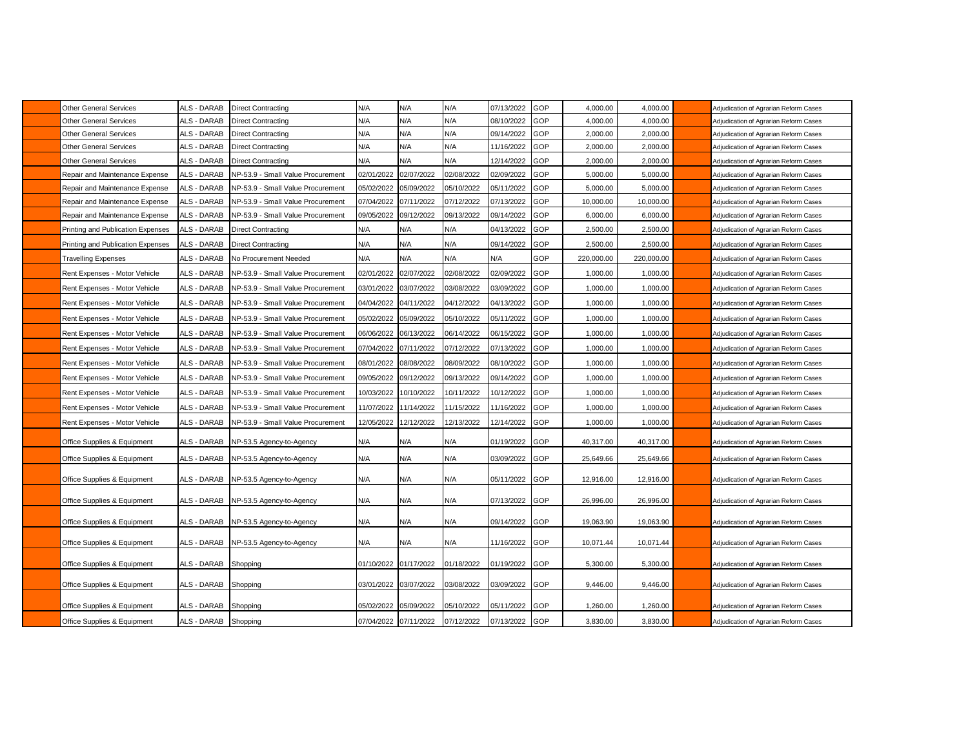| <b>Other General Services</b>     | ALS - DARAB | <b>Direct Contracting</b>         | N/A                   | N/A                   | N/A        | 07/13/2022     | GOP        | 4,000.00   | 4,000.00   | Adjudication of Agrarian Reform Cases |
|-----------------------------------|-------------|-----------------------------------|-----------------------|-----------------------|------------|----------------|------------|------------|------------|---------------------------------------|
| <b>Other General Services</b>     | ALS - DARAB | <b>Direct Contracting</b>         | N/A                   | N/A                   | N/A        | 08/10/2022     | <b>GOP</b> | 4,000.00   | 4,000.00   | Adjudication of Agrarian Reform Cases |
| <b>Other General Services</b>     | ALS - DARAB | <b>Direct Contracting</b>         | N/A                   | N/A                   | N/A        | 09/14/2022     | <b>GOP</b> | 2,000.00   | 2,000.00   | Adjudication of Agrarian Reform Cases |
| <b>Other General Services</b>     | ALS - DARAB | <b>Direct Contracting</b>         | N/A                   | N/A                   | N/A        | 11/16/2022     | GOP        | 2,000.00   | 2,000.00   | Adjudication of Agrarian Reform Cases |
| <b>Other General Services</b>     | ALS - DARAB | <b>Direct Contracting</b>         | N/A                   | N/A                   | N/A        | 12/14/2022     | <b>GOP</b> | 2,000.00   | 2,000.00   | Adjudication of Agrarian Reform Cases |
| Repair and Maintenance Expense    | ALS - DARAB | NP-53.9 - Small Value Procurement | 02/01/2022            | 02/07/2022            | 02/08/2022 | 02/09/2022     | <b>GOP</b> | 5,000.00   | 5,000.00   | Adjudication of Agrarian Reform Cases |
| Repair and Maintenance Expense    | ALS - DARAB | NP-53.9 - Small Value Procurement | 05/02/2022            | 05/09/2022            | 05/10/2022 | 05/11/2022     | <b>GOP</b> | 5,000.00   | 5,000.00   | Adjudication of Agrarian Reform Cases |
| Repair and Maintenance Expense    | ALS - DARAB | NP-53.9 - Small Value Procurement | 07/04/2022            | 07/11/2022            | 07/12/2022 | 07/13/2022     | GOP        | 10,000.00  | 10,000.00  | Adjudication of Agrarian Reform Cases |
| Repair and Maintenance Expense    | ALS - DARAB | NP-53.9 - Small Value Procurement | 09/05/2022            | 09/12/2022            | 09/13/2022 | 09/14/2022     | <b>GOP</b> | 6,000.00   | 6,000.00   | Adjudication of Agrarian Reform Cases |
| Printing and Publication Expenses | ALS - DARAB | Direct Contracting                | N/A                   | N/A                   | N/A        | 04/13/2022     | <b>GOP</b> | 2,500.00   | 2,500.00   | Adjudication of Agrarian Reform Cases |
| Printing and Publication Expenses | ALS - DARAB | Direct Contracting                | N/A                   | N/A                   | N/A        | 09/14/2022     | GOP        | 2,500.00   | 2,500.00   | Adjudication of Agrarian Reform Cases |
| <b>Travelling Expenses</b>        | ALS - DARAB | No Procurement Needed             | N/A                   | N/A                   | N/A        | N/A            | GOP        | 220,000.00 | 220,000.00 | Adjudication of Agrarian Reform Cases |
| Rent Expenses - Motor Vehicle     | ALS - DARAB | NP-53.9 - Small Value Procurement | 02/01/2022            | 02/07/2022            | 02/08/2022 | 02/09/2022     | GOP        | 1,000.00   | 1,000.00   | Adjudication of Agrarian Reform Cases |
| Rent Expenses - Motor Vehicle     | ALS - DARAB | NP-53.9 - Small Value Procurement | 03/01/2022            | 03/07/2022            | 03/08/2022 | 03/09/2022     | <b>GOP</b> | 1,000.00   | 1,000.00   | Adjudication of Agrarian Reform Cases |
| Rent Expenses - Motor Vehicle     | ALS - DARAB | NP-53.9 - Small Value Procurement | 04/04/2022            | 04/11/2022            | 04/12/2022 | 04/13/2022     | GOP        | 1,000.00   | 1,000.00   | Adjudication of Agrarian Reform Cases |
| Rent Expenses - Motor Vehicle     | ALS - DARAB | NP-53.9 - Small Value Procurement | 05/02/2022            | 05/09/2022            | 05/10/2022 | 05/11/2022     | <b>GOP</b> | 1,000.00   | 1,000.00   | Adjudication of Agrarian Reform Cases |
| Rent Expenses - Motor Vehicle     | ALS - DARAB | NP-53.9 - Small Value Procurement | 06/06/2022            | 06/13/2022            | 06/14/2022 | 06/15/2022     | <b>GOP</b> | 1,000.00   | 1,000.00   | Adjudication of Agrarian Reform Cases |
| Rent Expenses - Motor Vehicle     | ALS - DARAB | NP-53.9 - Small Value Procurement | 07/04/2022            | 07/11/2022            | 07/12/2022 | 07/13/2022     | <b>GOP</b> | 1,000.00   | 1,000.00   | Adjudication of Agrarian Reform Cases |
| Rent Expenses - Motor Vehicle     | ALS - DARAB | NP-53.9 - Small Value Procurement | 08/01/2022            | 08/08/2022            | 08/09/2022 | 08/10/2022     | <b>GOP</b> | 1,000.00   | 1,000.00   | Adjudication of Agrarian Reform Cases |
| Rent Expenses - Motor Vehicle     | ALS - DARAB | NP-53.9 - Small Value Procurement | 09/05/2022            | 09/12/2022            | 09/13/2022 | 09/14/2022     | GOP        | 1,000.00   | 1,000.00   | Adjudication of Agrarian Reform Cases |
| Rent Expenses - Motor Vehicle     | ALS - DARAB | NP-53.9 - Small Value Procurement | 10/03/2022            | 10/10/2022            | 10/11/2022 | 10/12/2022     | <b>GOP</b> | 1,000.00   | 1,000.00   | Adjudication of Agrarian Reform Cases |
| Rent Expenses - Motor Vehicle     | ALS - DARAB | NP-53.9 - Small Value Procurement | 11/07/2022            | 11/14/2022            | 11/15/2022 | 11/16/2022     | <b>GOP</b> | 1,000.00   | 1,000.00   | Adjudication of Agrarian Reform Cases |
| Rent Expenses - Motor Vehicle     | ALS - DARAB | NP-53.9 - Small Value Procurement | 12/05/2022            | 12/12/2022            | 12/13/2022 | 12/14/2022     | <b>GOP</b> | 1,000.00   | 1,000.00   | Adjudication of Agrarian Reform Cases |
|                                   |             |                                   |                       |                       |            |                |            |            |            |                                       |
| Office Supplies & Equipment       | ALS - DARAB | NP-53.5 Agency-to-Agency          | N/A                   | N/A                   | N/A        | 01/19/2022 GOP |            | 40,317.00  | 40,317.00  | Adjudication of Agrarian Reform Cases |
| Office Supplies & Equipment       | ALS - DARAB | NP-53.5 Agency-to-Agency          | N/A                   | N/A                   | N/A        | 03/09/2022 GOP |            | 25,649.66  | 25,649.66  | Adjudication of Agrarian Reform Cases |
| Office Supplies & Equipment       | ALS - DARAB | NP-53.5 Agency-to-Agency          | N/A                   | N/A                   | N/A        | 05/11/2022 GOP |            | 12,916.00  | 12,916.00  | Adjudication of Agrarian Reform Cases |
|                                   |             |                                   |                       |                       |            |                |            |            |            |                                       |
| Office Supplies & Equipment       | ALS - DARAB | NP-53.5 Agency-to-Agency          | N/A                   | N/A                   | N/A        | 07/13/2022     | GOP        | 26,996.00  | 26,996.00  | Adjudication of Agrarian Reform Cases |
| Office Supplies & Equipment       | ALS - DARAB | NP-53.5 Agency-to-Agency          | N/A                   | N/A                   | N/A        | 09/14/2022 GOP |            | 19,063.90  | 19,063.90  | Adjudication of Agrarian Reform Cases |
|                                   |             |                                   |                       |                       |            |                |            |            |            |                                       |
| Office Supplies & Equipment       | ALS - DARAB | NP-53.5 Agency-to-Agency          | N/A                   | N/A                   | N/A        | 11/16/2022 GOP |            | 10,071.44  | 10,071.44  | Adjudication of Agrarian Reform Cases |
| Office Supplies & Equipment       | ALS - DARAB | Shopping                          | 01/10/2022 01/17/2022 |                       | 01/18/2022 | 01/19/2022 GOP |            | 5,300.00   | 5,300.00   | Adjudication of Agrarian Reform Cases |
| Office Supplies & Equipment       | ALS - DARAB | Shopping                          | 03/01/2022            | 03/07/2022            | 03/08/2022 | 03/09/2022 GOP |            | 9,446.00   | 9,446.00   | Adjudication of Agrarian Reform Cases |
| Office Supplies & Equipment       | ALS - DARAB | Shopping                          | 05/02/2022            | 05/09/2022            | 05/10/2022 | 05/11/2022 GOP |            | 1,260.00   | 1,260.00   | Adjudication of Agrarian Reform Cases |
| Office Supplies & Equipment       | ALS - DARAB | Shopping                          |                       | 07/04/2022 07/11/2022 | 07/12/2022 | 07/13/2022 GOP |            | 3,830.00   | 3,830.00   | Adjudication of Agrarian Reform Cases |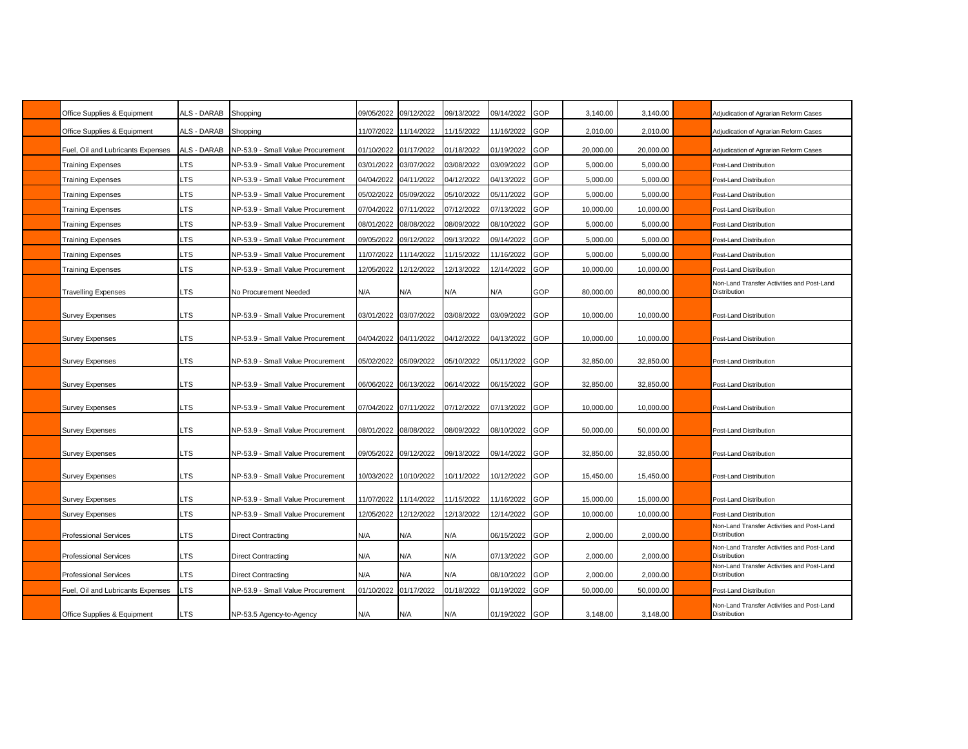| Office Supplies & Equipment       | ALS - DARAB | Shopping                          | 09/05/2022 | 09/12/2022            | 09/13/2022 | 09/14/2022     | GOP        | 3,140.00  | 3,140.00  | Adjudication of Agrarian Reform Cases                      |
|-----------------------------------|-------------|-----------------------------------|------------|-----------------------|------------|----------------|------------|-----------|-----------|------------------------------------------------------------|
| Office Supplies & Equipment       | ALS - DARAB | Shopping                          | 11/07/2022 | 11/14/2022            | 11/15/2022 | 11/16/2022 GOP |            | 2,010.00  | 2,010.00  | Adjudication of Agrarian Reform Cases                      |
| Fuel, Oil and Lubricants Expenses | ALS - DARAB | NP-53.9 - Small Value Procurement | 01/10/2022 | 01/17/2022            | 01/18/2022 | 01/19/2022     | GOP        | 20,000.00 | 20,000.00 | Adjudication of Agrarian Reform Cases                      |
| <b>Training Expenses</b>          | <b>LTS</b>  | NP-53.9 - Small Value Procurement | 03/01/2022 | 03/07/2022            | 03/08/2022 | 03/09/2022     | GOP        | 5,000.00  | 5,000.00  | Post-Land Distribution                                     |
| <b>Training Expenses</b>          | <b>LTS</b>  | NP-53.9 - Small Value Procurement | 04/04/2022 | 04/11/2022            | 04/12/2022 | 04/13/2022     | GOP        | 5,000.00  | 5,000.00  | Post-Land Distribution                                     |
| <b>Training Expenses</b>          | <b>LTS</b>  | NP-53.9 - Small Value Procurement | 05/02/2022 | 05/09/2022            | 05/10/2022 | 05/11/2022     | GOP        | 5,000.00  | 5,000.00  | Post-Land Distribution                                     |
| Training Expenses                 | LTS         | NP-53.9 - Small Value Procurement | 07/04/2022 | 07/11/2022            | 07/12/2022 | 07/13/2022 GOP |            | 10,000.00 | 10,000.00 | Post-Land Distribution                                     |
| Training Expenses                 | _TS         | NP-53.9 - Small Value Procurement | 08/01/2022 | 08/08/2022            | 08/09/2022 | 08/10/2022     | GOP        | 5,000.00  | 5,000.00  | Post-Land Distribution                                     |
| <b>Training Expenses</b>          | _TS         | NP-53.9 - Small Value Procurement | 09/05/2022 | 09/12/2022            | 09/13/2022 | 09/14/2022     | GOP        | 5,000.00  | 5,000.00  | Post-Land Distribution                                     |
| <b>Training Expenses</b>          | LTS         | NP-53.9 - Small Value Procurement | 11/07/2022 | 11/14/2022            | 11/15/2022 | 11/16/2022     | GOP        | 5,000.00  | 5,000.00  | Post-Land Distribution                                     |
| <b>Training Expenses</b>          | <b>LTS</b>  | NP-53.9 - Small Value Procurement | 12/05/2022 | 12/12/2022            | 12/13/2022 | 12/14/2022     | GOP        | 10,000.00 | 10,000.00 | Post-Land Distribution                                     |
| <b>Travelling Expenses</b>        | LTS         | No Procurement Needed             | N/A        | N/A                   | N/A        | N/A            | GOP        | 80,000.00 | 80,000.00 | Non-Land Transfer Activities and Post-Land<br>Distribution |
| <b>Survey Expenses</b>            | LTS         | NP-53.9 - Small Value Procurement | 03/01/2022 | 03/07/2022            | 03/08/2022 | 03/09/2022 GOP |            | 10,000.00 | 10,000.00 | Post-Land Distribution                                     |
| <b>Survey Expenses</b>            | .TS         | NP-53.9 - Small Value Procurement |            | 04/04/2022 04/11/2022 | 04/12/2022 | 04/13/2022 GOP |            | 10,000.00 | 10,000.00 | Post-Land Distribution                                     |
| <b>Survey Expenses</b>            | LTS         | NP-53.9 - Small Value Procurement | 05/02/2022 | 05/09/2022            | 05/10/2022 | 05/11/2022     | <b>GOP</b> | 32,850.00 | 32,850.00 | Post-Land Distribution                                     |
| <b>Survey Expenses</b>            | LTS         | NP-53.9 - Small Value Procurement | 06/06/2022 | 06/13/2022            | 06/14/2022 | 06/15/2022 GOP |            | 32,850.00 | 32,850.00 | Post-Land Distribution                                     |
| <b>Survey Expenses</b>            | <b>LTS</b>  | NP-53.9 - Small Value Procurement | 07/04/2022 | 07/11/2022            | 07/12/2022 | 07/13/2022 GOP |            | 10,000.00 | 10,000.00 | Post-Land Distribution                                     |
| <b>Survey Expenses</b>            | LTS         | NP-53.9 - Small Value Procurement | 08/01/2022 | 08/08/2022            | 08/09/2022 | 08/10/2022     | <b>GOP</b> | 50,000.00 | 50,000.00 | Post-Land Distribution                                     |
| <b>Survey Expenses</b>            | _TS         | NP-53.9 - Small Value Procurement | 09/05/2022 | 09/12/2022            | 09/13/2022 | 09/14/2022 GOP |            | 32,850.00 | 32,850.00 | Post-Land Distribution                                     |
| <b>Survey Expenses</b>            | _TS         | NP-53.9 - Small Value Procurement | 10/03/2022 | 10/10/2022            | 10/11/2022 | 10/12/2022 GOP |            | 15,450.00 | 15,450.00 | Post-Land Distribution                                     |
| <b>Survey Expenses</b>            | LTS         | NP-53.9 - Small Value Procurement | 11/07/2022 | 11/14/2022            | 11/15/2022 | 11/16/2022     | GOP        | 15,000.00 | 15,000.00 | Post-Land Distribution                                     |
| <b>Survey Expenses</b>            | LTS         | NP-53.9 - Small Value Procurement | 12/05/2022 | 12/12/2022            | 12/13/2022 | 12/14/2022     | GOP        | 10,000.00 | 10,000.00 | Post-Land Distribution                                     |
| <b>Professional Services</b>      | LTS         | <b>Direct Contracting</b>         | N/A        | N/A                   | N/A        | 06/15/2022     | GOP        | 2,000.00  | 2,000.00  | Non-Land Transfer Activities and Post-Land<br>Distribution |
| <b>Professional Services</b>      | LTS         | <b>Direct Contracting</b>         | N/A        | N/A                   | N/A        | 07/13/2022     | <b>GOP</b> | 2,000.00  | 2,000.00  | Non-Land Transfer Activities and Post-Land<br>Distribution |
| <b>Professional Services</b>      | _TS         | <b>Direct Contracting</b>         | N/A        | N/A                   | N/A        | 08/10/2022     | GOP        | 2,000.00  | 2,000.00  | Non-Land Transfer Activities and Post-Land<br>Distribution |
| Fuel, Oil and Lubricants Expenses | LTS         | NP-53.9 - Small Value Procurement | 01/10/2022 | 01/17/2022            | 01/18/2022 | 01/19/2022     | GOP        | 50,000.00 | 50,000.00 | Post-Land Distribution                                     |
| Office Supplies & Equipment       | LTS         | NP-53.5 Agency-to-Agency          | N/A        | N/A                   | N/A        | 01/19/2022 GOP |            | 3,148.00  | 3,148.00  | Non-Land Transfer Activities and Post-Land<br>Distribution |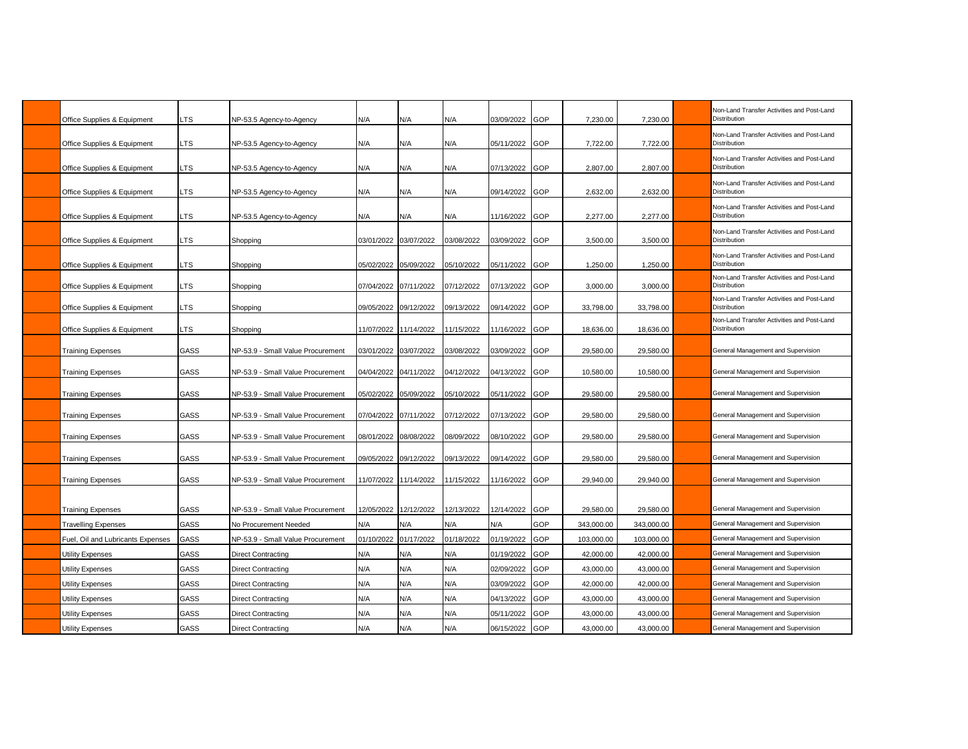| Office Supplies & Equipment                            | LTS          | NP-53.5 Agency-to-Agency                                   | N/A                          | N/A                   | N/A               | 03/09/2022        | GOP        | 7,230.00                | 7,230.00                | Non-Land Transfer Activities and Post-Land<br>Distribution               |
|--------------------------------------------------------|--------------|------------------------------------------------------------|------------------------------|-----------------------|-------------------|-------------------|------------|-------------------------|-------------------------|--------------------------------------------------------------------------|
| Office Supplies & Equipment                            | LTS          | NP-53.5 Agency-to-Agency                                   | N/A                          | N/A                   | N/A               | 05/11/2022        | GOP        | 7,722.00                | 7,722.00                | Non-Land Transfer Activities and Post-Land<br>Distribution               |
| Office Supplies & Equipment                            | LTS          | NP-53.5 Agency-to-Agency                                   | N/A                          | N/A                   | N/A               | 07/13/2022        | GOP        | 2,807.00                | 2,807.00                | Non-Land Transfer Activities and Post-Land<br>Distribution               |
| Office Supplies & Equipment                            | LTS.         | NP-53.5 Agency-to-Agency                                   | N/A                          | N/A                   | N/A               | 09/14/2022        | GOP        | 2.632.00                | 2.632.00                | Non-Land Transfer Activities and Post-Land<br>Distribution               |
| Office Supplies & Equipment                            | <b>LTS</b>   | NP-53.5 Agency-to-Agency                                   | N/A                          | N/A                   | N/A               | 11/16/2022        | GOP        | 2,277.00                | 2,277.00                | Non-Land Transfer Activities and Post-Land<br>Distribution               |
| Office Supplies & Equipment                            | LTS          | Shopping                                                   | 03/01/2022 03/07/2022        |                       | 03/08/2022        | 03/09/2022        | GOP        | 3,500.00                | 3,500.00                | Non-Land Transfer Activities and Post-Land<br>Distribution               |
| Office Supplies & Equipment                            | LTS          | Shopping                                                   | 05/02/2022                   | 05/09/2022            | 05/10/2022        | 05/11/2022        | GOP        | 1,250.00                | 1,250.00                | Non-Land Transfer Activities and Post-Land<br>Distribution               |
| Office Supplies & Equipment                            | ∟TS          | Shopping                                                   | 07/04/2022                   | 07/11/2022            | 07/12/2022        | 07/13/2022        | GOP        | 3,000.00                | 3,000.00                | Non-Land Transfer Activities and Post-Land<br>Distribution               |
| Office Supplies & Equipment                            | ∟TS          | Shopping                                                   | 09/05/2022                   | 09/12/2022            | 09/13/2022        | 09/14/2022        | GOP        | 33.798.00               | 33.798.00               | Non-Land Transfer Activities and Post-Land<br>Distribution               |
| Office Supplies & Equipment                            | _TS          | Shopping                                                   | 11/07/2022                   | 11/14/2022            | 11/15/2022        | 11/16/2022        | GOP        | 18,636.00               | 18,636.00               | Non-Land Transfer Activities and Post-Land<br>Distribution               |
| <b>Training Expenses</b>                               | GASS         | NP-53.9 - Small Value Procurement                          | 03/01/2022                   | 03/07/2022            | 03/08/2022        | 03/09/2022        | GOP        | 29.580.00               | 29,580.00               | General Management and Supervision                                       |
| <b>Training Expenses</b>                               | GASS         | NP-53.9 - Small Value Procurement                          | 04/04/2022                   | 04/11/2022            | 04/12/2022        | 04/13/2022        | GOP        | 10,580.00               | 10,580.00               | General Management and Supervision                                       |
| <b>Training Expenses</b>                               | GASS         | NP-53.9 - Small Value Procurement                          | 05/02/2022                   | 05/09/2022            | 05/10/2022        | 05/11/2022        | GOP        | 29,580.00               | 29,580.00               | General Management and Supervision                                       |
| <b>Training Expenses</b>                               | GASS         | NP-53.9 - Small Value Procurement                          | 07/04/2022                   | 07/11/2022            | 07/12/2022        | 07/13/2022        | GOP        | 29,580.00               | 29,580.00               | General Management and Supervision                                       |
| <b>Training Expenses</b>                               | GASS         | NP-53.9 - Small Value Procurement                          | 08/01/2022                   | 08/08/2022            | 08/09/2022        | 08/10/2022        | GOP        | 29,580.00               | 29,580.00               | General Management and Supervision                                       |
| <b>Training Expenses</b>                               | GASS         | NP-53.9 - Small Value Procurement                          | 09/05/2022 09/12/2022        |                       | 09/13/2022        | 09/14/2022        | GOP        | 29,580.00               | 29,580.00               | General Management and Supervision                                       |
| <b>Training Expenses</b>                               | GASS         | NP-53.9 - Small Value Procurement                          |                              | 11/07/2022 11/14/2022 | 11/15/2022        | 11/16/2022 GOP    |            | 29.940.00               | 29.940.00               | General Management and Supervision                                       |
|                                                        |              |                                                            |                              |                       |                   |                   |            |                         |                         |                                                                          |
| <b>Training Expenses</b><br><b>Travelling Expenses</b> | GASS<br>GASS | NP-53.9 - Small Value Procurement<br>No Procurement Needed | 12/05/2022 12/12/2022<br>N/A | N/A                   | 12/13/2022<br>N/A | 12/14/2022<br>N/A | GOP<br>GOP | 29,580.00<br>343,000.00 | 29,580.00<br>343,000.00 | General Management and Supervision<br>General Management and Supervision |
| Fuel, Oil and Lubricants Expenses                      | GASS         | NP-53.9 - Small Value Procurement                          | 01/10/2022                   | 01/17/2022            | 01/18/2022        | 01/19/2022        | GOP        | 103.000.00              | 103,000.00              | General Management and Supervision                                       |
| <b>Utility Expenses</b>                                | GASS         | <b>Direct Contracting</b>                                  | N/A                          | N/A                   | N/A               | 01/19/2022        | GOP        | 42,000.00               | 42,000.00               | General Management and Supervision                                       |
| <b>Utility Expenses</b>                                | <b>GASS</b>  | <b>Direct Contracting</b>                                  | N/A                          | N/A                   | N/A               | 02/09/2022        | GOP        | 43,000.00               | 43,000.00               | General Management and Supervision                                       |
| <b>Utility Expenses</b>                                | <b>GASS</b>  | <b>Direct Contracting</b>                                  | N/A                          | N/A                   | N/A               | 03/09/2022        | GOP        | 42,000.00               | 42,000.00               | General Management and Supervision                                       |
| <b>Utility Expenses</b>                                | GASS         | <b>Direct Contracting</b>                                  | N/A                          | N/A                   | N/A               | 04/13/2022        | GOP        | 43,000.00               | 43,000.00               | General Management and Supervision                                       |
| <b>Utility Expenses</b>                                | GASS         | <b>Direct Contracting</b>                                  | N/A                          | N/A                   | N/A               | 05/11/2022        | GOP        | 43,000.00               | 43,000.00               | General Management and Supervision                                       |
| <b>Utility Expenses</b>                                | GASS         | <b>Direct Contracting</b>                                  | N/A                          | N/A                   | N/A               | 06/15/2022        | GOP        | 43,000.00               | 43,000.00               | General Management and Supervision                                       |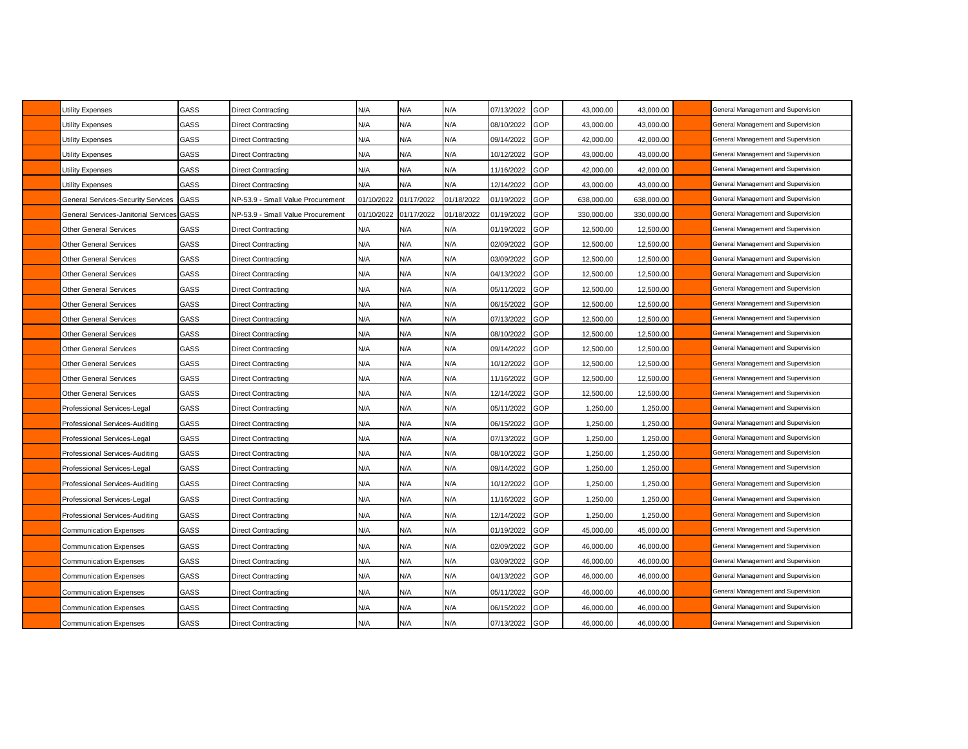| Utility Expenses                            | <b>GASS</b> | Direct Contracting                | N/A        | N/A        | N/A        | 07/13/2022 | GOP        | 43,000.00  | 43.000.00  | General Management and Supervision |
|---------------------------------------------|-------------|-----------------------------------|------------|------------|------------|------------|------------|------------|------------|------------------------------------|
| <b>Utility Expenses</b>                     | <b>GASS</b> | Direct Contracting                | N/A        | N/A        | N/A        | 08/10/2022 | GOP        | 43,000.00  | 43,000.00  | General Management and Supervision |
| <b>Utility Expenses</b>                     | GASS        | Direct Contracting                | N/A        | N/A        | N/A        | 09/14/2022 | GOP        | 42,000.00  | 42,000.00  | General Management and Supervision |
| Utility Expenses                            | GASS        | Direct Contracting                | N/A        | N/A        | N/A        | 10/12/2022 | GOP        | 43,000.00  | 43,000.00  | General Management and Supervision |
| <b>Utility Expenses</b>                     | GASS        | Direct Contracting                | N/A        | N/A        | N/A        | 11/16/2022 | <b>GOP</b> | 42,000.00  | 42,000.00  | General Management and Supervision |
| <b>Utility Expenses</b>                     | <b>GASS</b> | Direct Contracting                | N/A        | N/A        | N/A        | 12/14/2022 | GOP        | 43,000.00  | 43,000.00  | General Management and Supervision |
| General Services-Security Services          | GASS        | NP-53.9 - Small Value Procurement | 01/10/2022 | 01/17/2022 | 01/18/2022 | 01/19/2022 | GOP        | 638,000.00 | 638,000.00 | General Management and Supervision |
| <b>General Services-Janitorial Services</b> | GASS        | NP-53.9 - Small Value Procurement | 01/10/2022 | 01/17/2022 | 01/18/2022 | 01/19/2022 | GOP        | 330,000.00 | 330,000.00 | General Management and Supervision |
| <b>Other General Services</b>               | GASS        | <b>Direct Contracting</b>         | N/A        | N/A        | N/A        | 01/19/2022 | GOP        | 12,500.00  | 12,500.00  | General Management and Supervision |
| <b>Other General Services</b>               | GASS        | <b>Direct Contracting</b>         | N/A        | N/A        | N/A        | 02/09/2022 | GOP        | 12,500.00  | 12,500.00  | General Management and Supervision |
| <b>Other General Services</b>               | <b>GASS</b> | Direct Contracting                | N/A        | N/A        | N/A        | 03/09/2022 | GOP        | 12,500.00  | 12,500.00  | General Management and Supervision |
| <b>Other General Services</b>               | GASS        | Direct Contracting                | N/A        | N/A        | N/A        | 04/13/2022 | GOP        | 12,500.00  | 12,500.00  | General Management and Supervision |
| <b>Other General Services</b>               | GASS        | <b>Direct Contracting</b>         | N/A        | N/A        | N/A        | 05/11/2022 | <b>GOP</b> | 12,500.00  | 12,500.00  | General Management and Supervision |
| <b>Other General Services</b>               | GASS        | Direct Contracting                | N/A        | N/A        | N/A        | 06/15/2022 | GOP        | 12,500.00  | 12,500.00  | General Management and Supervision |
| <b>Other General Services</b>               | GASS        | Direct Contracting                | N/A        | N/A        | N/A        | 07/13/2022 | <b>GOP</b> | 12,500.00  | 12,500.00  | General Management and Supervision |
| <b>Other General Services</b>               | GASS        | Direct Contracting                | N/A        | N/A        | N/A        | 08/10/2022 | <b>GOP</b> | 12,500.00  | 12,500.00  | General Management and Supervision |
| <b>Other General Services</b>               | GASS        | Direct Contracting                | N/A        | N/A        | N/A        | 09/14/2022 | GOP        | 12,500.00  | 12,500.00  | General Management and Supervision |
| <b>Other General Services</b>               | GASS        | Direct Contracting                | N/A        | N/A        | N/A        | 10/12/2022 | GOP        | 12,500.00  | 12,500.00  | General Management and Supervision |
| <b>Other General Services</b>               | GASS        | Direct Contracting                | N/A        | N/A        | N/A        | 11/16/2022 | GOP        | 12,500.00  | 12,500.00  | General Management and Supervision |
| <b>Other General Services</b>               | GASS        | <b>Direct Contracting</b>         | N/A        | N/A        | N/A        | 12/14/2022 | GOP        | 12,500.00  | 12,500.00  | General Management and Supervision |
| Professional Services-Legal                 | GASS        | Direct Contracting                | N/A        | N/A        | N/A        | 05/11/2022 | <b>GOP</b> | 1,250.00   | 1,250.00   | General Management and Supervision |
| Professional Services-Auditing              | GASS        | <b>Direct Contracting</b>         | N/A        | N/A        | N/A        | 06/15/2022 | GOP        | 1,250.00   | 1,250.00   | General Management and Supervision |
| Professional Services-Legal                 | GASS        | Direct Contracting                | N/A        | N/A        | N/A        | 07/13/2022 | <b>GOP</b> | 1,250.00   | 1,250.00   | General Management and Supervision |
| Professional Services-Auditing              | GASS        | Direct Contracting                | N/A        | N/A        | N/A        | 08/10/2022 | <b>GOP</b> | 1,250.00   | 1,250.00   | General Management and Supervision |
| Professional Services-Legal                 | <b>GASS</b> | Direct Contracting                | N/A        | N/A        | N/A        | 09/14/2022 | GOP        | 1.250.00   | 1.250.00   | General Management and Supervision |
| Professional Services-Auditing              | GASS        | Direct Contracting                | N/A        | N/A        | N/A        | 10/12/2022 | GOP        | 1,250.00   | 1,250.00   | General Management and Supervision |
| Professional Services-Legal                 | GASS        | Direct Contracting                | N/A        | N/A        | N/A        | 11/16/2022 | <b>GOP</b> | 1,250.00   | 1,250.00   | General Management and Supervision |
| Professional Services-Auditing              | GASS        | <b>Direct Contracting</b>         | N/A        | N/A        | N/A        | 12/14/2022 | <b>GOP</b> | 1,250.00   | 1,250.00   | General Management and Supervision |
| <b>Communication Expenses</b>               | GASS        | Direct Contracting                | N/A        | N/A        | N/A        | 01/19/2022 | <b>GOP</b> | 45,000.00  | 45,000.00  | General Management and Supervision |
| <b>Communication Expenses</b>               | GASS        | Direct Contracting                | N/A        | N/A        | N/A        | 02/09/2022 | <b>GOP</b> | 46,000.00  | 46,000.00  | General Management and Supervision |
| <b>Communication Expenses</b>               | GASS        | Direct Contracting                | N/A        | N/A        | N/A        | 03/09/2022 | GOP        | 46,000.00  | 46,000.00  | General Management and Supervision |
| <b>Communication Expenses</b>               | GASS        | Direct Contracting                | N/A        | N/A        | N/A        | 04/13/2022 | GOP        | 46,000.00  | 46,000.00  | General Management and Supervision |
| <b>Communication Expenses</b>               | GASS        | <b>Direct Contracting</b>         | N/A        | N/A        | N/A        | 05/11/2022 | <b>GOP</b> | 46,000.00  | 46,000.00  | General Management and Supervision |
| <b>Communication Expenses</b>               | GASS        | Direct Contracting                | N/A        | N/A        | N/A        | 06/15/2022 | GOP        | 46,000.00  | 46,000.00  | General Management and Supervision |
| <b>Communication Expenses</b>               | GASS        | <b>Direct Contracting</b>         | N/A        | N/A        | N/A        | 07/13/2022 | <b>GOP</b> | 46,000.00  | 46,000.00  | General Management and Supervision |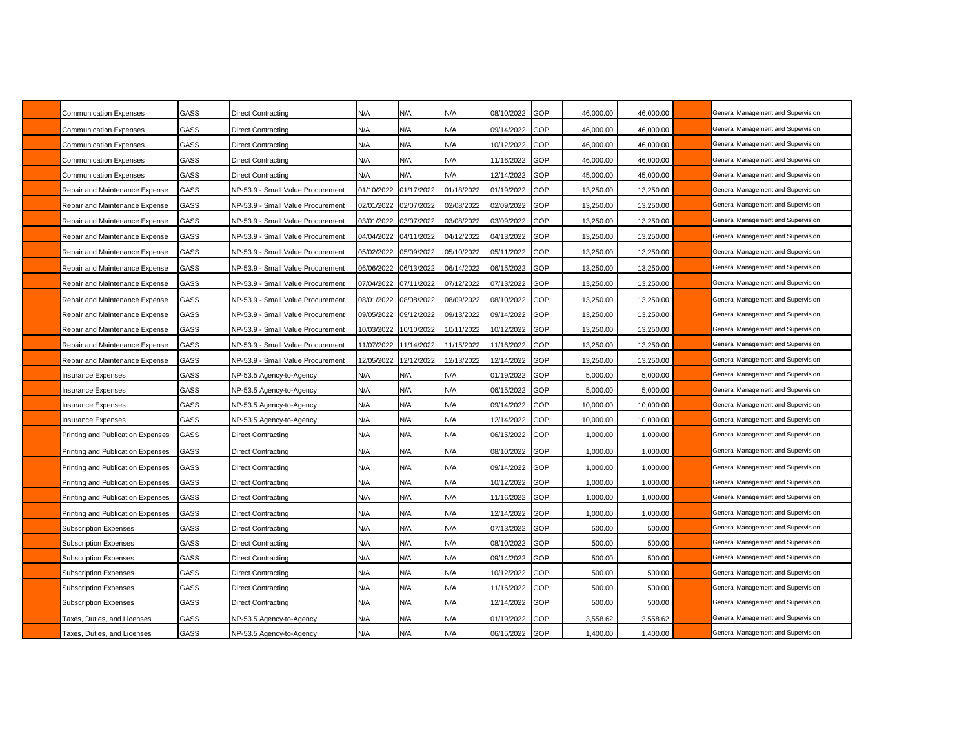| Communication Expenses            | GASS | Direct Contracting                | N/A        | N/A        | N/A        | 08/10/2022 | GOP | 46,000.00 | 46,000.00 | General Management and Supervision |
|-----------------------------------|------|-----------------------------------|------------|------------|------------|------------|-----|-----------|-----------|------------------------------------|
| Communication Expenses            | GASS | Direct Contracting                | N/A        | N/A        | N/A        | 09/14/2022 | GOP | 46,000.00 | 46,000.00 | General Management and Supervision |
| Communication Expenses            | GASS | Direct Contracting                | N/A        | N/A        | N/A        | 10/12/2022 | GOP | 46,000.00 | 46,000.00 | General Management and Supervision |
| Communication Expenses            | GASS | Direct Contracting                | N/A        | N/A        | N/A        | 1/16/2022  | GOP | 46,000.00 | 46,000.00 | General Management and Supervision |
| <b>Communication Expenses</b>     | GASS | Direct Contracting                | N/A        | N/A        | N/A        | 12/14/2022 | GOP | 45,000.00 | 45,000.00 | General Management and Supervision |
| Repair and Maintenance Expense    | GASS | NP-53.9 - Small Value Procurement | 01/10/2022 | 01/17/2022 | 01/18/2022 | 01/19/2022 | GOP | 13,250.00 | 13,250.00 | General Management and Supervision |
| Repair and Maintenance Expense    | GASS | NP-53.9 - Small Value Procurement | 02/01/2022 | 02/07/2022 | 02/08/2022 | 02/09/2022 | GOP | 13,250.00 | 13,250.00 | General Management and Supervision |
| Repair and Maintenance Expense    | GASS | NP-53.9 - Small Value Procurement | 03/01/2022 | 03/07/2022 | 03/08/2022 | 03/09/2022 | GOP | 13,250.00 | 13,250.00 | General Management and Supervision |
| Repair and Maintenance Expense    | GASS | NP-53.9 - Small Value Procurement | 04/04/2022 | 04/11/2022 | 04/12/2022 | 04/13/2022 | GOP | 13,250.00 | 13,250.00 | General Management and Supervision |
| Repair and Maintenance Expense    | GASS | NP-53.9 - Small Value Procurement | 05/02/2022 | 05/09/2022 | 05/10/2022 | 05/11/2022 | GOP | 13,250.00 | 13,250.00 | General Management and Supervision |
| Repair and Maintenance Expense    | GASS | NP-53.9 - Small Value Procurement | 06/06/2022 | 06/13/2022 | 06/14/2022 | 06/15/2022 | GOP | 13,250.00 | 13,250.00 | General Management and Supervision |
| Repair and Maintenance Expense    | GASS | NP-53.9 - Small Value Procurement | 07/04/2022 | 07/11/2022 | 07/12/2022 | 07/13/2022 | GOP | 13,250.00 | 13,250.00 | General Management and Supervision |
| Repair and Maintenance Expense    | GASS | NP-53.9 - Small Value Procurement | 08/01/2022 | 08/08/2022 | 08/09/2022 | 08/10/2022 | GOP | 13,250.00 | 13,250.00 | General Management and Supervision |
| Repair and Maintenance Expense    | GASS | NP-53.9 - Small Value Procurement | 09/05/2022 | 09/12/2022 | 09/13/2022 | 09/14/2022 | GOP | 13,250.00 | 13,250.00 | General Management and Supervision |
| Repair and Maintenance Expense    | GASS | NP-53.9 - Small Value Procurement | 10/03/2022 | 10/10/2022 | 10/11/2022 | 0/12/2022  | GOP | 13,250.00 | 13,250.00 | General Management and Supervision |
| Repair and Maintenance Expense    | GASS | VP-53.9 - Small Value Procurement | 11/07/2022 | 11/14/2022 | 11/15/2022 | 11/16/2022 | GOP | 13.250.00 | 13.250.00 | General Management and Supervision |
| Repair and Maintenance Expense    | GASS | NP-53.9 - Small Value Procurement | 12/05/2022 | 12/12/2022 | 12/13/2022 | 12/14/2022 | GOP | 13,250.00 | 13,250.00 | General Management and Supervision |
| <b>Insurance Expenses</b>         | GASS | NP-53.5 Agency-to-Agency          | N/A        | N/A        | N/A        | 01/19/2022 | GOP | 5,000.00  | 5,000.00  | General Management and Supervision |
| Insurance Expenses                | GASS | NP-53.5 Agency-to-Agency          | N/A        | N/A        | N/A        | 06/15/2022 | GOP | 5,000.00  | 5,000.00  | General Management and Supervision |
| Insurance Expenses                | GASS | NP-53.5 Agency-to-Agency          | N/A        | N/A        | N/A        | 09/14/2022 | GOP | 10,000.00 | 10,000.00 | General Management and Supervision |
| Insurance Expenses                | GASS | NP-53.5 Agency-to-Agency          | N/A        | N/A        | N/A        | 12/14/2022 | GOP | 10,000.00 | 10,000.00 | General Management and Supervision |
| Printing and Publication Expenses | GASS | Direct Contracting                | N/A        | N/A        | N/A        | 06/15/2022 | GOP | 1,000.00  | 1,000.00  | General Management and Supervision |
| Printing and Publication Expenses | GASS | Direct Contracting                | N/A        | N/A        | N/A        | 08/10/2022 | GOP | 1,000.00  | 1,000.00  | General Management and Supervision |
| Printing and Publication Expenses | GASS | Direct Contracting                | N/A        | N/A        | N/A        | 09/14/2022 | GOP | 1,000.00  | 1,000.00  | General Management and Supervision |
| Printing and Publication Expenses | GASS | Direct Contracting                | N/A        | N/A        | N/A        | 10/12/2022 | GOP | 1,000.00  | 1,000.00  | General Management and Supervision |
| Printing and Publication Expenses | GASS | Direct Contracting                | N/A        | N/A        | N/A        | 1/16/2022  | GOP | 1,000.00  | 1,000.00  | General Management and Supervision |
| Printing and Publication Expenses | GASS | Direct Contracting                | N/A        | N/A        | N/A        | 12/14/2022 | GOP | 1,000.00  | 1,000.00  | General Management and Supervision |
| Subscription Expenses             | GASS | Direct Contracting                | N/A        | N/A        | N/A        | 07/13/2022 | GOP | 500.00    | 500.00    | General Management and Supervision |
| <b>Subscription Expenses</b>      | GASS | Direct Contracting                | N/A        | N/A        | N/A        | 08/10/2022 | GOP | 500.00    | 500.00    | General Management and Supervision |
| Subscription Expenses             | GASS | Direct Contracting                | N/A        | N/A        | N/A        | 09/14/2022 | GOP | 500.00    | 500.00    | General Management and Supervision |
| Subscription Expenses             | GASS | Direct Contracting                | N/A        | N/A        | N/A        | 0/12/2022  | GOP | 500.00    | 500.00    | General Management and Supervision |
| Subscription Expenses             | GASS | Direct Contracting                | N/A        | N/A        | N/A        | 1/16/2022  | GOP | 500.00    | 500.00    | General Management and Supervision |
| Subscription Expenses             | GASS | Direct Contracting                | N/A        | N/A        | N/A        | 12/14/2022 | GOP | 500.00    | 500.00    | General Management and Supervision |
| Taxes, Duties, and Licenses       | GASS | NP-53.5 Agency-to-Agency          | N/A        | N/A        | N/A        | 01/19/2022 | GOP | 3,558.62  | 3.558.62  | General Management and Supervision |
| Taxes, Duties, and Licenses       | GASS | NP-53.5 Agency-to-Agency          | N/A        | N/A        | N/A        | 06/15/2022 | GOP | 1,400.00  | 1,400.00  | General Management and Supervision |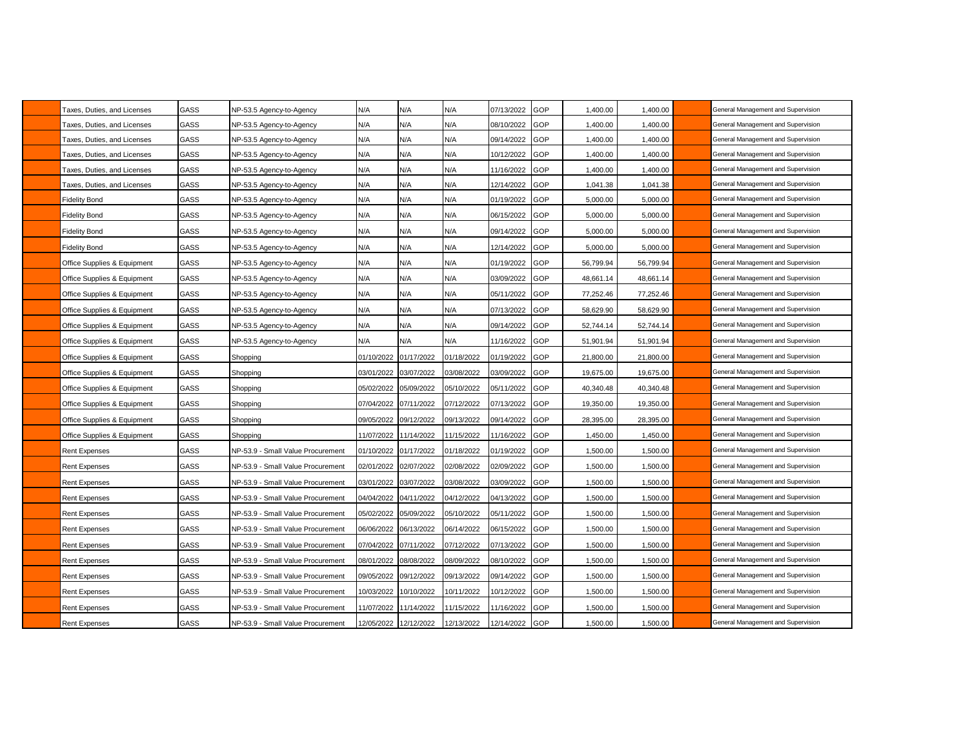| Taxes, Duties, and Licenses | GASS        | NP-53.5 Agency-to-Agency          | N/A        | N/A        | N/A        | 07/13/2022 | GOP        | 1,400.00  | 1,400.00  | General Management and Supervision |
|-----------------------------|-------------|-----------------------------------|------------|------------|------------|------------|------------|-----------|-----------|------------------------------------|
| Taxes, Duties, and Licenses | GASS        | NP-53.5 Agency-to-Agency          | N/A        | N/A        | N/A        | 08/10/2022 | GOP        | 1,400.00  | 1,400.00  | General Management and Supervision |
| Taxes, Duties, and Licenses | GASS        | NP-53.5 Agency-to-Agency          | N/A        | N/A        | N/A        | 09/14/2022 | GOP        | 1,400.00  | 1,400.00  | General Management and Supervision |
| Taxes, Duties, and Licenses | GASS        | NP-53.5 Agency-to-Agency          | N/A        | N/A        | N/A        | 0/12/2022  | GOP        | 1,400.00  | 1,400.00  | General Management and Supervision |
| Taxes, Duties, and Licenses | GASS        | NP-53.5 Agency-to-Agency          | N/A        | N/A        | N/A        | 1/16/2022  | GOP        | 1,400.00  | 1,400.00  | General Management and Supervision |
| Taxes, Duties, and Licenses | GASS        | NP-53.5 Agency-to-Agency          | N/A        | N/A        | N/A        | 12/14/2022 | GOP        | 1,041.38  | 1,041.38  | General Management and Supervision |
| <b>Fidelity Bond</b>        | GASS        | NP-53.5 Agency-to-Agency          | N/A        | N/A        | N/A        | 01/19/2022 | GOP        | 5,000.00  | 5,000.00  | General Management and Supervision |
| <b>Fidelity Bond</b>        | GASS        | NP-53.5 Agency-to-Agency          | N/A        | N/A        | N/A        | 06/15/2022 | GOP        | 5,000.00  | 5,000.00  | General Management and Supervision |
| Fidelity Bond               | GASS        | NP-53.5 Agency-to-Agency          | N/A        | N/A        | N/A        | 09/14/2022 | GOP        | 5,000.00  | 5,000.00  | General Management and Supervision |
| <b>Fidelity Bond</b>        | GASS        | NP-53.5 Agency-to-Agency          | N/A        | N/A        | N/A        | 12/14/2022 | GOP        | 5,000.00  | 5,000.00  | General Management and Supervision |
| Office Supplies & Equipment | GASS        | NP-53.5 Agency-to-Agency          | N/A        | N/A        | N/A        | 01/19/2022 | GOP        | 56,799.94 | 56,799.94 | General Management and Supervision |
| Office Supplies & Equipment | GASS        | NP-53.5 Agency-to-Agency          | N/A        | N/A        | N/A        | 03/09/2022 | GOP        | 48,661.14 | 48,661.14 | General Management and Supervision |
| Office Supplies & Equipment | GASS        | NP-53.5 Agency-to-Agency          | N/A        | N/A        | N/A        | 05/11/2022 | GOP        | 77,252.46 | 77,252.46 | General Management and Supervision |
| Office Supplies & Equipment | <b>GASS</b> | NP-53.5 Agency-to-Agency          | N/A        | N/A        | N/A        | 07/13/2022 | GOP        | 58,629.90 | 58,629.90 | General Management and Supervision |
| Office Supplies & Equipment | GASS        | NP-53.5 Agency-to-Agency          | N/A        | N/A        | N/A        | 09/14/2022 | GOP        | 52,744.14 | 52,744.14 | General Management and Supervision |
| Office Supplies & Equipment | GASS        | NP-53.5 Agency-to-Agency          | N/A        | N/A        | N/A        | 1/16/2022  | GOP        | 51,901.94 | 51,901.94 | General Management and Supervision |
| Office Supplies & Equipment | GASS        | Shopping                          | 01/10/2022 | 01/17/2022 | 01/18/2022 | 01/19/2022 | GOP        | 21,800.00 | 21,800.00 | General Management and Supervision |
| Office Supplies & Equipment | GASS        | Shopping                          | 03/01/2022 | 03/07/2022 | 03/08/2022 | 03/09/2022 | GOP        | 19,675.00 | 19,675.00 | General Management and Supervision |
| Office Supplies & Equipment | GASS        | Shopping                          | 05/02/2022 | 05/09/2022 | 05/10/2022 | 05/11/2022 | GOP        | 40,340.48 | 40,340.48 | General Management and Supervision |
| Office Supplies & Equipment | GASS        | Shopping                          | 07/04/2022 | 07/11/2022 | 07/12/2022 | 07/13/2022 | GOP        | 19,350.00 | 19,350.00 | General Management and Supervision |
| Office Supplies & Equipment | GASS        | Shopping                          | 09/05/2022 | 09/12/2022 | 09/13/2022 | 09/14/2022 | GOP        | 28,395.00 | 28,395.00 | General Management and Supervision |
| Office Supplies & Equipment | GASS        | Shopping                          | 11/07/2022 | 11/14/2022 | 11/15/2022 | 1/16/2022  | GOP        | 1,450.00  | 1,450.00  | General Management and Supervision |
| Rent Expenses               | GASS        | NP-53.9 - Small Value Procurement | 01/10/2022 | 01/17/2022 | 01/18/2022 | 01/19/2022 | GOP        | 1,500.00  | 1,500.00  | General Management and Supervision |
| Rent Expenses               | GASS        | NP-53.9 - Small Value Procurement | 02/01/2022 | 02/07/2022 | 02/08/2022 | 02/09/2022 | GOP        | 1,500.00  | 1,500.00  | General Management and Supervision |
| Rent Expenses               | GASS        | NP-53.9 - Small Value Procurement | 03/01/2022 | 03/07/2022 | 03/08/2022 | 03/09/2022 | GOP        | 1,500.00  | 1,500.00  | General Management and Supervision |
| Rent Expenses               | GASS        | NP-53.9 - Small Value Procurement | 04/04/2022 | 04/11/2022 | 04/12/2022 | 04/13/2022 | GOP        | 1,500.00  | 1,500.00  | General Management and Supervision |
| Rent Expenses               | GASS        | NP-53.9 - Small Value Procurement | 05/02/2022 | 05/09/2022 | 05/10/2022 | 05/11/2022 | <b>GOP</b> | 1,500.00  | 1,500.00  | General Management and Supervision |
| Rent Expenses               | GASS        | NP-53.9 - Small Value Procurement | 06/06/2022 | 06/13/2022 | 06/14/2022 | 06/15/2022 | GOP        | 1,500.00  | 1,500.00  | General Management and Supervision |
| Rent Expenses               | GASS        | NP-53.9 - Small Value Procurement | 07/04/2022 | 07/11/2022 | 07/12/2022 | 07/13/2022 | GOP        | 1,500.00  | 1,500.00  | General Management and Supervision |
| Rent Expenses               | GASS        | NP-53.9 - Small Value Procurement | 08/01/2022 | 08/08/2022 | 08/09/2022 | 08/10/2022 | GOP        | 1,500.00  | 1,500.00  | General Management and Supervision |
| <b>Rent Expenses</b>        | GASS        | NP-53.9 - Small Value Procurement | 09/05/2022 | 09/12/2022 | 09/13/2022 | 09/14/2022 | GOP        | 1,500.00  | 1,500.00  | General Management and Supervision |
| Rent Expenses               | GASS        | NP-53.9 - Small Value Procurement | 10/03/2022 | 10/10/2022 | 10/11/2022 | 10/12/2022 | <b>GOP</b> | 1,500.00  | 1,500.00  | General Management and Supervision |
| Rent Expenses               | GASS        | NP-53.9 - Small Value Procurement | 11/07/2022 | 11/14/2022 | 11/15/2022 | 11/16/2022 | <b>GOP</b> | 1,500.00  | 1,500.00  | General Management and Supervision |
| Rent Expenses               | GASS        | NP-53.9 - Small Value Procurement | 12/05/2022 | 12/12/2022 | 12/13/2022 | 12/14/2022 | <b>GOP</b> | 1,500.00  | 1,500.00  | General Management and Supervision |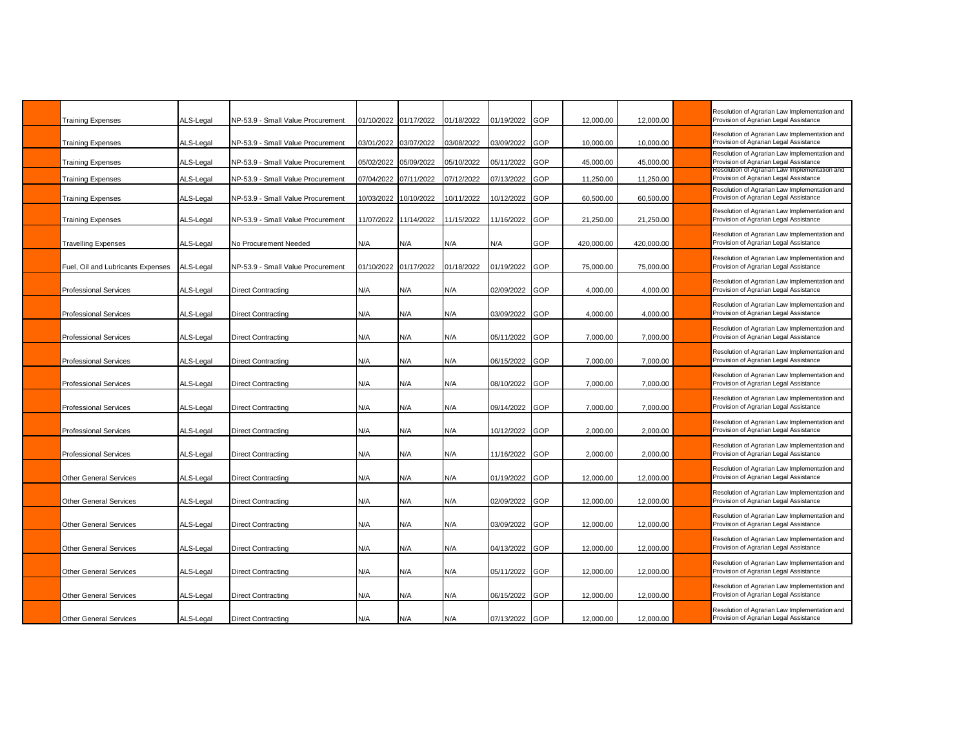| <b>Training Expenses</b>          | ALS-Legal | NP-53.9 - Small Value Procurement |                       | 01/10/2022 01/17/2022 | 01/18/2022 | 01/19/2022     | GOP | 12,000.00  | 12,000.00  | Resolution of Agrarian Law Implementation and<br>Provision of Agrarian Legal Assistance |
|-----------------------------------|-----------|-----------------------------------|-----------------------|-----------------------|------------|----------------|-----|------------|------------|-----------------------------------------------------------------------------------------|
| <b>Training Expenses</b>          | ALS-Legal | NP-53.9 - Small Value Procurement | 03/01/2022            | 03/07/2022            | 03/08/2022 | 03/09/2022     | GOP | 10,000.00  | 10,000.00  | Resolution of Agrarian Law Implementation and<br>Provision of Agrarian Legal Assistance |
| <b>Training Expenses</b>          | ALS-Legal | NP-53.9 - Small Value Procurement |                       | 05/02/2022 05/09/2022 | 05/10/2022 | 05/11/2022     | GOP | 45,000.00  | 45,000.00  | Resolution of Agrarian Law Implementation and<br>Provision of Agrarian Legal Assistance |
| <b>Training Expenses</b>          | ALS-Legal | NP-53.9 - Small Value Procurement | 07/04/2022 07/11/2022 |                       | 07/12/2022 | 07/13/2022     | GOP | 11,250.00  | 11,250.00  | Resolution of Agrarian Law Implementation and<br>Provision of Agrarian Legal Assistance |
| <b>Training Expenses</b>          | ALS-Legal | NP-53.9 - Small Value Procurement | 10/03/2022            | 10/10/2022            | 10/11/2022 | 10/12/2022     | GOP | 60,500.00  | 60,500.00  | Resolution of Agrarian Law Implementation and<br>Provision of Agrarian Legal Assistance |
| <b>Training Expenses</b>          | ALS-Legal | NP-53.9 - Small Value Procurement |                       | 11/07/2022 11/14/2022 | 11/15/2022 | 11/16/2022     | GOP | 21,250.00  | 21,250.00  | Resolution of Agrarian Law Implementation and<br>Provision of Agrarian Legal Assistance |
| <b>Travelling Expenses</b>        | ALS-Legal | No Procurement Needed             | N/A                   | N/A                   | N/A        | N/A            | GOP | 420,000.00 | 420,000.00 | Resolution of Agrarian Law Implementation and<br>Provision of Agrarian Legal Assistance |
| Fuel, Oil and Lubricants Expenses | ALS-Legal | NP-53.9 - Small Value Procurement |                       | 01/10/2022 01/17/2022 | 01/18/2022 | 01/19/2022     | GOP | 75,000.00  | 75,000.00  | Resolution of Agrarian Law Implementation and<br>Provision of Agrarian Legal Assistance |
| <b>Professional Services</b>      | ALS-Legal | <b>Direct Contracting</b>         | N/A                   | N/A                   | N/A        | 02/09/2022     | GOP | 4,000.00   | 4,000.00   | Resolution of Agrarian Law Implementation and<br>Provision of Agrarian Legal Assistance |
| <b>Professional Services</b>      | ALS-Legal | <b>Direct Contracting</b>         | N/A                   | N/A                   | N/A        | 03/09/2022     | GOP | 4.000.00   | 4.000.00   | Resolution of Agrarian Law Implementation and<br>Provision of Agrarian Legal Assistance |
| <b>Professional Services</b>      | ALS-Legal | <b>Direct Contracting</b>         | N/A                   | N/A                   | N/A        | 05/11/2022     | GOP | 7,000.00   | 7,000.00   | Resolution of Agrarian Law Implementation and<br>Provision of Agrarian Legal Assistance |
| <b>Professional Services</b>      | ALS-Legal | <b>Direct Contracting</b>         | N/A                   | N/A                   | N/A        | 06/15/2022     | GOP | 7,000.00   | 7,000.00   | Resolution of Agrarian Law Implementation and<br>Provision of Agrarian Legal Assistance |
| <b>Professional Services</b>      | ALS-Legal | <b>Direct Contracting</b>         | N/A                   | N/A                   | N/A        | 08/10/2022     | GOP | 7.000.00   | 7.000.00   | Resolution of Agrarian Law Implementation and<br>Provision of Agrarian Legal Assistance |
| <b>Professional Services</b>      | ALS-Legal | <b>Direct Contracting</b>         | N/A                   | N/A                   | N/A        | 09/14/2022     | GOP | 7,000.00   | 7,000.00   | Resolution of Agrarian Law Implementation and<br>Provision of Agrarian Legal Assistance |
| <b>Professional Services</b>      | ALS-Legal | Direct Contracting                | N/A                   | N/A                   | N/A        | 10/12/2022     | GOP | 2,000.00   | 2,000.00   | Resolution of Agrarian Law Implementation and<br>Provision of Agrarian Legal Assistance |
| <b>Professional Services</b>      | ALS-Legal | <b>Direct Contracting</b>         | N/A                   | N/A                   | N/A        | 11/16/2022     | GOP | 2.000.00   | 2.000.00   | Resolution of Agrarian Law Implementation and<br>Provision of Agrarian Legal Assistance |
| <b>Other General Services</b>     | ALS-Legal | <b>Direct Contracting</b>         | N/A                   | N/A                   | N/A        | 01/19/2022     | GOP | 12,000.00  | 12,000.00  | Resolution of Agrarian Law Implementation and<br>Provision of Agrarian Legal Assistance |
| <b>Other General Services</b>     | ALS-Legal | Direct Contracting                | N/A                   | N/A                   | N/A        | 02/09/2022     | GOP | 12,000.00  | 12,000.00  | Resolution of Agrarian Law Implementation and<br>Provision of Agrarian Legal Assistance |
| <b>Other General Services</b>     | ALS-Legal | <b>Direct Contracting</b>         | N/A                   | N/A                   | N/A        | 03/09/2022     | GOP | 12,000.00  | 12,000.00  | Resolution of Agrarian Law Implementation and<br>Provision of Agrarian Legal Assistance |
| <b>Other General Services</b>     | ALS-Legal | <b>Direct Contracting</b>         | N/A                   | N/A                   | N/A        | 04/13/2022     | GOP | 12,000.00  | 12,000.00  | Resolution of Agrarian Law Implementation and<br>Provision of Agrarian Legal Assistance |
| <b>Other General Services</b>     | ALS-Legal | <b>Direct Contracting</b>         | N/A                   | N/A                   | N/A        | 05/11/2022     | GOP | 12.000.00  | 12.000.00  | Resolution of Agrarian Law Implementation and<br>Provision of Agrarian Legal Assistance |
| <b>Other General Services</b>     | ALS-Legal | <b>Direct Contracting</b>         | N/A                   | N/A                   | N/A        | 06/15/2022     | GOP | 12,000.00  | 12,000.00  | Resolution of Agrarian Law Implementation and<br>Provision of Agrarian Legal Assistance |
| <b>Other General Services</b>     | ALS-Legal | <b>Direct Contracting</b>         | N/A                   | N/A                   | N/A        | 07/13/2022 GOP |     | 12.000.00  | 12,000.00  | Resolution of Agrarian Law Implementation and<br>Provision of Agrarian Legal Assistance |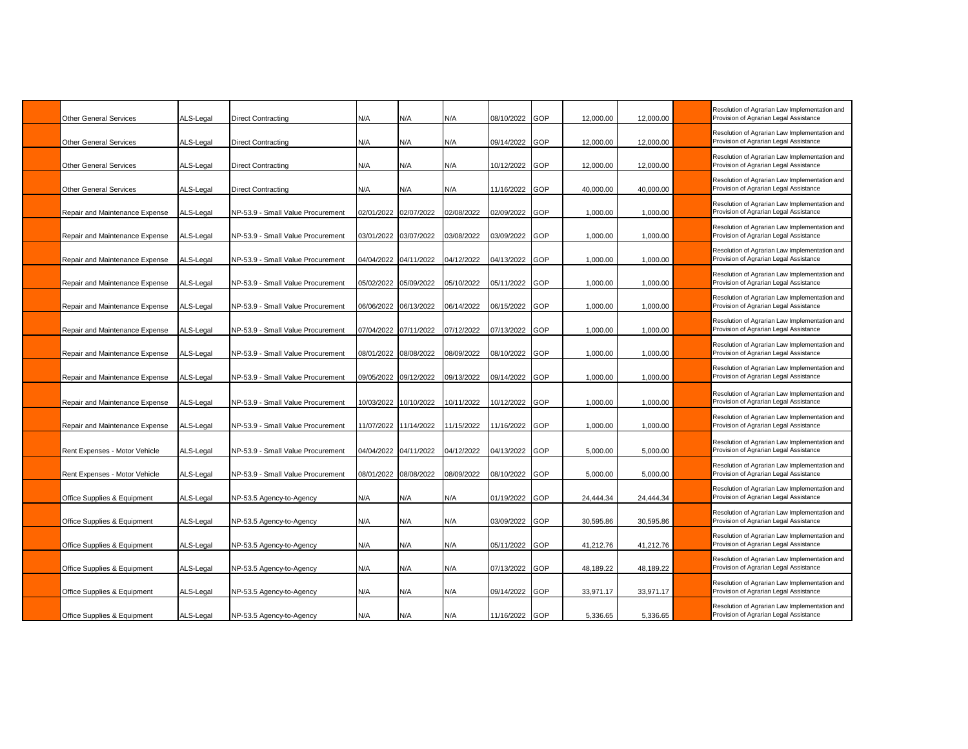| <b>Other General Services</b>  | ALS-Legal | <b>Direct Contracting</b>         | N/A                   | N/A                   | N/A        | 08/10/2022     | GOP        | 12,000.00 | 12,000.00 | Resolution of Agrarian Law Implementation and<br>Provision of Agrarian Legal Assistance |
|--------------------------------|-----------|-----------------------------------|-----------------------|-----------------------|------------|----------------|------------|-----------|-----------|-----------------------------------------------------------------------------------------|
| <b>Other General Services</b>  | ALS-Legal | <b>Direct Contracting</b>         | N/A                   | N/A                   | N/A        | 09/14/2022     | <b>GOP</b> | 12,000.00 | 12,000.00 | Resolution of Agrarian Law Implementation and<br>Provision of Agrarian Legal Assistance |
| <b>Other General Services</b>  | ALS-Legal | <b>Direct Contracting</b>         | N/A                   | N/A                   | N/A        | 10/12/2022     | <b>GOP</b> | 12,000.00 | 12,000.00 | Resolution of Agrarian Law Implementation and<br>Provision of Agrarian Legal Assistance |
| <b>Other General Services</b>  | ALS-Legal | <b>Direct Contracting</b>         | N/A                   | N/A                   | N/A        | 11/16/2022     | GOP        | 40,000.00 | 40,000.00 | Resolution of Agrarian Law Implementation and<br>Provision of Agrarian Legal Assistance |
| Repair and Maintenance Expense | ALS-Legal | NP-53.9 - Small Value Procurement | 02/01/2022            | 02/07/2022            | 02/08/2022 | 02/09/2022     | GOP        | 1,000.00  | 1,000.00  | Resolution of Agrarian Law Implementation and<br>Provision of Agrarian Legal Assistance |
| Repair and Maintenance Expense | ALS-Legal | NP-53.9 - Small Value Procurement | 03/01/2022 03/07/2022 |                       | 03/08/2022 | 03/09/2022     | GOP        | 1,000.00  | 1,000.00  | Resolution of Agrarian Law Implementation and<br>Provision of Agrarian Legal Assistance |
| Repair and Maintenance Expense | ALS-Legal | NP-53.9 - Small Value Procurement | 04/04/2022 04/11/2022 |                       | 04/12/2022 | 04/13/2022     | GOP        | 1,000.00  | 1,000.00  | Resolution of Agrarian Law Implementation and<br>Provision of Agrarian Legal Assistance |
| Repair and Maintenance Expense | ALS-Legal | NP-53.9 - Small Value Procurement | 05/02/2022            | 05/09/2022            | 05/10/2022 | 05/11/2022     | GOP        | 1,000.00  | 1,000.00  | Resolution of Agrarian Law Implementation and<br>Provision of Agrarian Legal Assistance |
| Repair and Maintenance Expense | ALS-Legal | NP-53.9 - Small Value Procurement | 06/06/2022 06/13/2022 |                       | 06/14/2022 | 06/15/2022     | GOP        | 1,000.00  | 1,000.00  | Resolution of Agrarian Law Implementation and<br>Provision of Agrarian Legal Assistance |
| Repair and Maintenance Expense | ALS-Legal | NP-53.9 - Small Value Procurement | 07/04/2022 07/11/2022 |                       | 07/12/2022 | 07/13/2022     | GOP        | 1,000.00  | 1,000.00  | Resolution of Agrarian Law Implementation and<br>Provision of Agrarian Legal Assistance |
| Repair and Maintenance Expense | ALS-Legal | NP-53.9 - Small Value Procurement | 08/01/2022 08/08/2022 |                       | 08/09/2022 | 08/10/2022     | GOP        | 1,000.00  | 1,000.00  | Resolution of Agrarian Law Implementation and<br>Provision of Agrarian Legal Assistance |
| Repair and Maintenance Expense | ALS-Legal | NP-53.9 - Small Value Procurement | 09/05/2022 09/12/2022 |                       | 09/13/2022 | 09/14/2022 GOP |            | 1,000.00  | 1,000.00  | Resolution of Agrarian Law Implementation and<br>Provision of Agrarian Legal Assistance |
| Repair and Maintenance Expense | ALS-Legal | NP-53.9 - Small Value Procurement |                       | 10/03/2022 10/10/2022 | 10/11/2022 | 10/12/2022     | GOP        | 1,000.00  | 1,000.00  | Resolution of Agrarian Law Implementation and<br>Provision of Agrarian Legal Assistance |
| Repair and Maintenance Expense | ALS-Legal | NP-53.9 - Small Value Procurement |                       | 11/07/2022 11/14/2022 | 11/15/2022 | 11/16/2022     | GOP        | 1,000.00  | 1,000.00  | Resolution of Agrarian Law Implementation and<br>Provision of Agrarian Legal Assistance |
| Rent Expenses - Motor Vehicle  | ALS-Legal | NP-53.9 - Small Value Procurement | 04/04/2022 04/11/2022 |                       | 04/12/2022 | 04/13/2022     | GOP        | 5,000.00  | 5,000.00  | Resolution of Agrarian Law Implementation and<br>Provision of Agrarian Legal Assistance |
| Rent Expenses - Motor Vehicle  | ALS-Legal | NP-53.9 - Small Value Procurement |                       | 08/01/2022 08/08/2022 | 08/09/2022 | 08/10/2022     | <b>GOP</b> | 5,000.00  | 5,000.00  | Resolution of Agrarian Law Implementation and<br>Provision of Agrarian Legal Assistance |
| Office Supplies & Equipment    | ALS-Legal | NP-53.5 Agency-to-Agency          | N/A                   | N/A                   | N/A        | 01/19/2022     | GOP        | 24,444.34 | 24,444.34 | Resolution of Agrarian Law Implementation and<br>Provision of Agrarian Legal Assistance |
| Office Supplies & Equipment    | ALS-Legal | NP-53.5 Agency-to-Agency          | N/A                   | N/A                   | N/A        | 03/09/2022     | GOP        | 30,595.86 | 30,595.86 | Resolution of Agrarian Law Implementation and<br>Provision of Agrarian Legal Assistance |
| Office Supplies & Equipment    | ALS-Legal | NP-53.5 Agency-to-Agency          | N/A                   | N/A                   | N/A        | 05/11/2022     | GOP        | 41,212.76 | 41,212.76 | Resolution of Agrarian Law Implementation and<br>Provision of Agrarian Legal Assistance |
| Office Supplies & Equipment    | ALS-Legal | NP-53.5 Agency-to-Agency          | N/A                   | N/A                   | N/A        | 07/13/2022     | <b>GOP</b> | 48,189.22 | 48,189.22 | Resolution of Agrarian Law Implementation and<br>Provision of Agrarian Legal Assistance |
| Office Supplies & Equipment    | ALS-Legal | NP-53.5 Agency-to-Agency          | N/A                   | N/A                   | N/A        | 09/14/2022     | GOP        | 33,971.17 | 33,971.17 | Resolution of Agrarian Law Implementation and<br>Provision of Agrarian Legal Assistance |
| Office Supplies & Equipment    | ALS-Legal | NP-53.5 Agency-to-Agency          | N/A                   | N/A                   | N/A        | 11/16/2022 GOP |            | 5,336.65  | 5,336.65  | Resolution of Agrarian Law Implementation and<br>Provision of Agrarian Legal Assistance |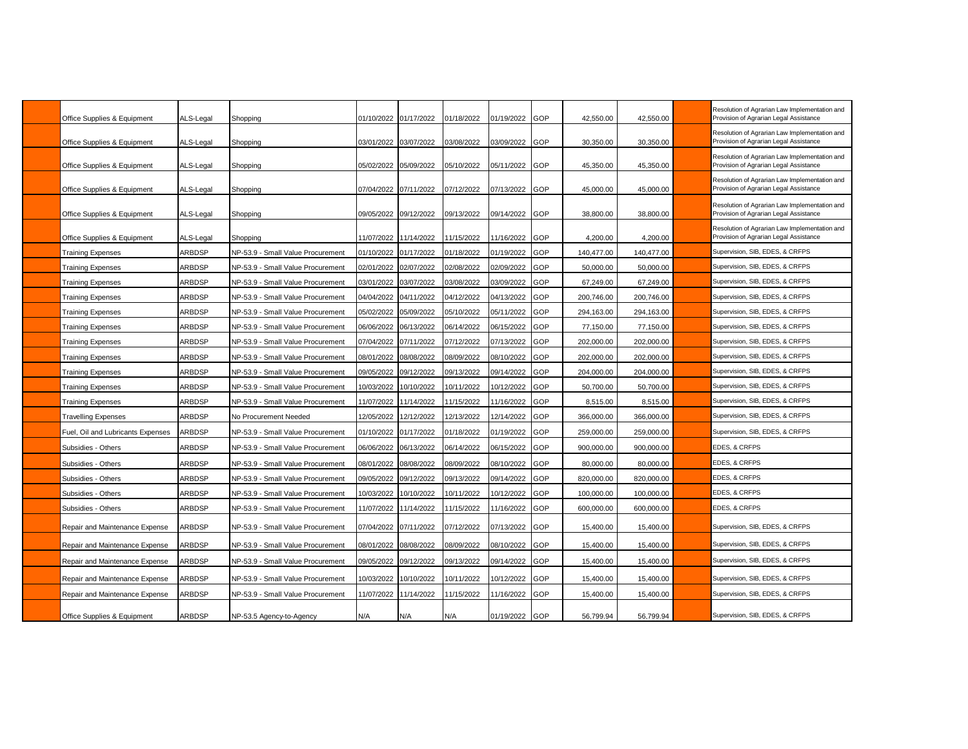| Office Supplies & Equipment       | ALS-Legal     | Shopping                          | 01/10/2022            | 01/17/2022 | 01/18/2022 | 01/19/2022 | GOP | 42,550.00  | 42,550.00  | Resolution of Agrarian Law Implementation and<br>Provision of Agrarian Legal Assistance |
|-----------------------------------|---------------|-----------------------------------|-----------------------|------------|------------|------------|-----|------------|------------|-----------------------------------------------------------------------------------------|
| Office Supplies & Equipment       | ALS-Legal     | Shopping                          | 03/01/2022 03/07/2022 |            | 03/08/2022 | 03/09/2022 | GOP | 30.350.00  | 30,350.00  | Resolution of Agrarian Law Implementation and<br>Provision of Agrarian Legal Assistance |
| Office Supplies & Equipment       | ALS-Legal     | Shopping                          | 05/02/2022 05/09/2022 |            | 05/10/2022 | 05/11/2022 | GOP | 45,350.00  | 45,350.00  | Resolution of Agrarian Law Implementation and<br>Provision of Agrarian Legal Assistance |
| Office Supplies & Equipment       | ALS-Legal     | Shopping                          | 07/04/2022            | 07/11/2022 | 07/12/2022 | 07/13/2022 | GOP | 45,000.00  | 45,000.00  | Resolution of Agrarian Law Implementation and<br>Provision of Agrarian Legal Assistance |
| Office Supplies & Equipment       | ALS-Legal     | Shopping                          | 09/05/2022 09/12/2022 |            | 09/13/2022 | 09/14/2022 | GOP | 38.800.00  | 38,800.00  | Resolution of Agrarian Law Implementation and<br>Provision of Agrarian Legal Assistance |
| Office Supplies & Equipment       | ALS-Legal     | Shopping                          | 11/07/2022 11/14/2022 |            | 11/15/2022 | 11/16/2022 | GOP | 4,200.00   | 4,200.00   | Resolution of Agrarian Law Implementation and<br>Provision of Agrarian Legal Assistance |
| <b>Training Expenses</b>          | ARBDSP        | NP-53.9 - Small Value Procurement | 01/10/2022            | 01/17/2022 | 01/18/2022 | 01/19/2022 | GOP | 140,477.00 | 140,477.00 | Supervision, SIB, EDES, & CRFPS                                                         |
| <b>Training Expenses</b>          | <b>ARBDSP</b> | NP-53.9 - Small Value Procurement | 02/01/2022            | 02/07/2022 | 02/08/2022 | 02/09/2022 | GOP | 50,000.00  | 50,000.00  | Supervision, SIB, EDES, & CRFPS                                                         |
| <b>Training Expenses</b>          | ARBDSP        | NP-53.9 - Small Value Procurement | 03/01/2022            | 03/07/2022 | 03/08/2022 | 03/09/2022 | GOP | 67,249.00  | 67,249.00  | Supervision, SIB, EDES, & CRFPS                                                         |
| <b>Training Expenses</b>          | ARBDSP        | NP-53.9 - Small Value Procurement | 04/04/2022            | 04/11/2022 | 04/12/2022 | 04/13/2022 | GOP | 200,746.00 | 200,746.00 | Supervision, SIB, EDES, & CRFPS                                                         |
| <b>Training Expenses</b>          | <b>ARBDSP</b> | NP-53.9 - Small Value Procurement | 05/02/2022            | 05/09/2022 | 05/10/2022 | 05/11/2022 | GOP | 294,163.00 | 294,163.00 | Supervision, SIB, EDES, & CRFPS                                                         |
| <b>Training Expenses</b>          | <b>ARBDSP</b> | NP-53.9 - Small Value Procurement | 06/06/2022            | 06/13/2022 | 06/14/2022 | 06/15/2022 | GOP | 77,150.00  | 77,150.00  | Supervision, SIB, EDES, & CRFPS                                                         |
| <b>Training Expenses</b>          | <b>ARBDSP</b> | NP-53.9 - Small Value Procurement | 07/04/2022            | 07/11/2022 | 07/12/2022 | 07/13/2022 | GOP | 202,000.00 | 202,000.00 | Supervision, SIB, EDES, & CRFPS                                                         |
| Training Expenses                 | ARBDSP        | NP-53.9 - Small Value Procurement | 08/01/2022            | 08/08/2022 | 08/09/2022 | 08/10/2022 | GOP | 202,000.00 | 202,000.00 | Supervision, SIB, EDES, & CRFPS                                                         |
| <b>Training Expenses</b>          | <b>ARBDSP</b> | NP-53.9 - Small Value Procurement | 09/05/2022            | 09/12/2022 | 09/13/2022 | 09/14/2022 | GOP | 204,000.00 | 204,000.00 | Supervision, SIB, EDES, & CRFPS                                                         |
| <b>Training Expenses</b>          | ARBDSP        | NP-53.9 - Small Value Procurement | 10/03/2022            | 10/10/2022 | 10/11/2022 | 0/12/2022  | GOP | 50,700.00  | 50,700.00  | Supervision, SIB, EDES, & CRFPS                                                         |
| <b>Training Expenses</b>          | ARBDSP        | NP-53.9 - Small Value Procurement | 11/07/2022            | 11/14/2022 | 11/15/2022 | 1/16/2022  | GOP | 8,515.00   | 8,515.00   | Supervision, SIB, EDES, & CRFPS                                                         |
| <b>Travelling Expenses</b>        | ARBDSP        | No Procurement Needed             | 12/05/2022            | 12/12/2022 | 12/13/2022 | 12/14/2022 | GOP | 366,000.00 | 366,000.00 | Supervision, SIB, EDES, & CRFPS                                                         |
| Fuel, Oil and Lubricants Expenses | <b>ARBDSP</b> | NP-53.9 - Small Value Procurement | 01/10/2022            | 01/17/2022 | 01/18/2022 | 01/19/2022 | GOP | 259,000.00 | 259,000.00 | Supervision, SIB, EDES, & CRFPS                                                         |
| Subsidies - Others                | <b>ARBDSP</b> | NP-53.9 - Small Value Procurement | 06/06/2022            | 06/13/2022 | 06/14/2022 | 06/15/2022 | GOP | 900,000.00 | 900,000.00 | EDES, & CRFPS                                                                           |
| Subsidies - Others                | <b>ARBDSP</b> | NP-53.9 - Small Value Procurement | 08/01/2022            | 08/08/2022 | 08/09/2022 | 08/10/2022 | GOP | 80,000.00  | 80,000.00  | <b>EDES, &amp; CRFPS</b>                                                                |
| Subsidies - Others                | <b>ARBDSP</b> | NP-53.9 - Small Value Procurement | 09/05/2022            | 09/12/2022 | 09/13/2022 | 09/14/2022 | GOP | 820,000.00 | 820.000.00 | EDES, & CRFPS                                                                           |
| Subsidies - Others                | <b>ARBDSP</b> | NP-53.9 - Small Value Procurement | 10/03/2022            | 10/10/2022 | 10/11/2022 | 0/12/2022  | GOP | 100,000.00 | 100,000.00 | EDES, & CRFPS                                                                           |
| Subsidies - Others                | ARBDSP        | NP-53.9 - Small Value Procurement | 11/07/2022            | 11/14/2022 | 11/15/2022 | 1/16/2022  | GOP | 600,000.00 | 600,000.00 | EDES, & CRFPS                                                                           |
| Repair and Maintenance Expense    | ARBDSP        | NP-53.9 - Small Value Procurement | 07/04/2022            | 07/11/2022 | 07/12/2022 | 07/13/2022 | GOP | 15,400.00  | 15,400.00  | Supervision, SIB, EDES, & CRFPS                                                         |
| Repair and Maintenance Expense    | ARBDSP        | NP-53.9 - Small Value Procurement | 08/01/2022            | 08/08/2022 | 08/09/2022 | 08/10/2022 | GOP | 15,400.00  | 15,400.00  | Supervision, SIB, EDES, & CRFPS                                                         |
| Repair and Maintenance Expense    | ARBDSP        | NP-53.9 - Small Value Procurement | 09/05/2022            | 09/12/2022 | 09/13/2022 | 09/14/2022 | GOP | 15,400.00  | 15,400.00  | Supervision, SIB, EDES, & CRFPS                                                         |
| Repair and Maintenance Expense    | <b>ARBDSP</b> | NP-53.9 - Small Value Procurement | 10/03/2022            | 10/10/2022 | 10/11/2022 | 10/12/2022 | GOP | 15,400.00  | 15,400.00  | Supervision, SIB, EDES, & CRFPS                                                         |
| Repair and Maintenance Expense    | <b>ARBDSP</b> | NP-53.9 - Small Value Procurement | 11/07/2022            | 11/14/2022 | 11/15/2022 | 1/16/2022  | GOP | 15,400.00  | 15,400.00  | Supervision, SIB, EDES, & CRFPS                                                         |
| Office Supplies & Equipment       | <b>ARBDSP</b> | NP-53.5 Agency-to-Agency          | N/A                   | N/A        | N/A        | 01/19/2022 | GOP | 56,799.94  | 56.799.94  | Supervision, SIB, EDES, & CRFPS                                                         |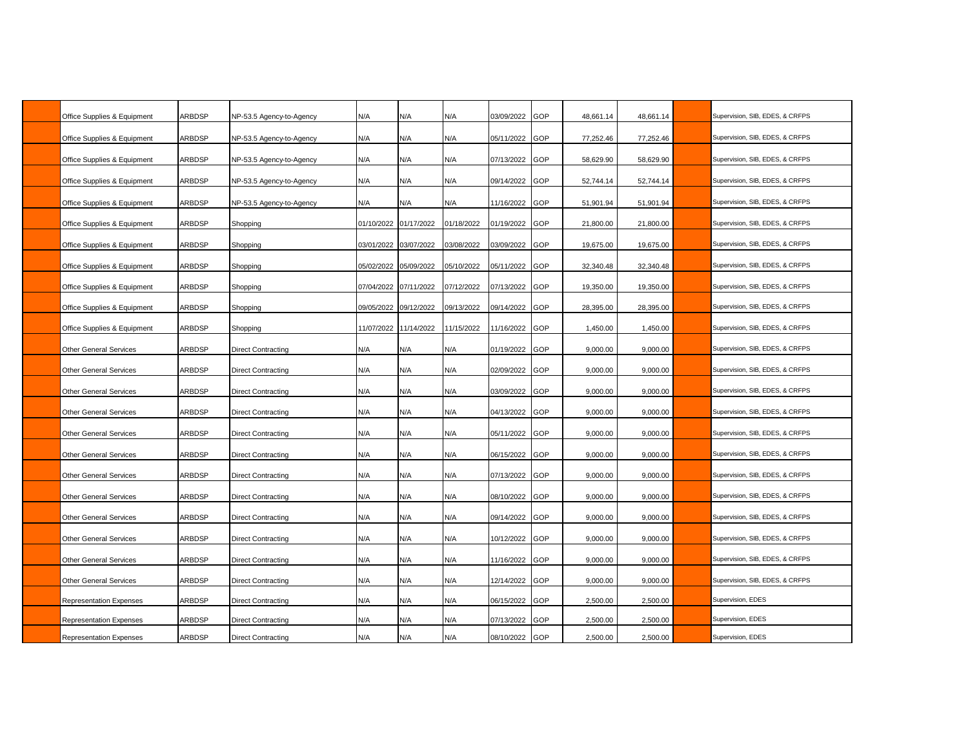| Office Supplies & Equipment    | <b>ARBDSP</b> | NP-53.5 Agency-to-Agency  | N/A                   | N/A                   | N/A        | 03/09/2022     | GOP        | 48,661.14 | 48.661.14 | Supervision, SIB, EDES, & CRFPS |
|--------------------------------|---------------|---------------------------|-----------------------|-----------------------|------------|----------------|------------|-----------|-----------|---------------------------------|
| Office Supplies & Equipment    | <b>ARBDSP</b> | NP-53.5 Agency-to-Agency  | N/A                   | N/A                   | N/A        | 05/11/2022     | GOP        | 77,252.46 | 77,252.46 | Supervision, SIB, EDES, & CRFPS |
| Office Supplies & Equipment    | <b>ARBDSP</b> | NP-53.5 Agency-to-Agency  | N/A                   | N/A                   | N/A        | 07/13/2022     | GOP        | 58,629.90 | 58,629.90 | Supervision, SIB, EDES, & CRFPS |
| Office Supplies & Equipment    | ARBDSP        | NP-53.5 Agency-to-Agency  | N/A                   | N/A                   | N/A        | 09/14/2022     | GOP        | 52,744.14 | 52,744.14 | Supervision, SIB, EDES, & CRFPS |
| Office Supplies & Equipment    | <b>ARBDSP</b> | NP-53.5 Agency-to-Agency  | N/A                   | N/A                   | N/A        | 1/16/2022      | GOP        | 51,901.94 | 51,901.94 | Supervision, SIB, EDES, & CRFPS |
| Office Supplies & Equipment    | ARBDSP        | Shopping                  | 01/10/2022            | 01/17/2022            | 01/18/2022 | 01/19/2022     | GOP        | 21,800.00 | 21,800.00 | Supervision, SIB, EDES, & CRFPS |
| Office Supplies & Equipment    | <b>ARBDSP</b> | Shopping                  |                       | 03/01/2022 03/07/2022 | 03/08/2022 | 03/09/2022     | GOP        | 19,675.00 | 19,675.00 | Supervision, SIB, EDES, & CRFPS |
| Office Supplies & Equipment    | <b>ARBDSP</b> | Shopping                  |                       | 05/02/2022 05/09/2022 | 05/10/2022 | 05/11/2022     | GOP        | 32,340.48 | 32,340.48 | Supervision, SIB, EDES, & CRFPS |
| Office Supplies & Equipment    | <b>ARBDSP</b> | Shopping                  | 07/04/2022 07/11/2022 |                       | 07/12/2022 | 07/13/2022     | GOP        | 19,350.00 | 19,350.00 | Supervision, SIB, EDES, & CRFPS |
| Office Supplies & Equipment    | ARBDSP        | Shopping                  | 09/05/2022            | 09/12/2022            | 09/13/2022 | 09/14/2022     | GOP        | 28,395.00 | 28,395.00 | Supervision, SIB, EDES, & CRFPS |
| Office Supplies & Equipment    | ARBDSP        | Shopping                  |                       | 11/07/2022 11/14/2022 | 11/15/2022 | 1/16/2022      | GOP        | 1,450.00  | 1,450.00  | Supervision, SIB, EDES, & CRFPS |
| <b>Other General Services</b>  | <b>ARBDSP</b> | <b>Direct Contracting</b> | N/A                   | N/A                   | N/A        | 01/19/2022     | GOP        | 9,000.00  | 9,000.00  | Supervision, SIB, EDES, & CRFPS |
| <b>Other General Services</b>  | ARBDSP        | Direct Contracting        | N/A                   | N/A                   | N/A        | 02/09/2022     | GOP        | 9,000.00  | 9,000.00  | Supervision, SIB, EDES, & CRFPS |
| Other General Services         | ARBDSP        | Direct Contracting        | N/A                   | N/A                   | N/A        | 03/09/2022     | GOP        | 9,000.00  | 9,000.00  | Supervision, SIB, EDES, & CRFPS |
| <b>Other General Services</b>  | <b>ARBDSP</b> | Direct Contracting        | N/A                   | N/A                   | N/A        | 04/13/2022     | GOP        | 9,000.00  | 9,000.00  | Supervision, SIB, EDES, & CRFPS |
| <b>Other General Services</b>  | <b>ARBDSP</b> | Direct Contracting        | N/A                   | N/A                   | N/A        | 05/11/2022     | GOP        | 9,000.00  | 9,000.00  | Supervision, SIB, EDES, & CRFPS |
| <b>Other General Services</b>  | ARBDSP        | Direct Contracting        | N/A                   | N/A                   | N/A        | 06/15/2022     | GOP        | 9,000.00  | 9,000.00  | Supervision, SIB, EDES, & CRFPS |
| <b>Other General Services</b>  | ARBDSP        | <b>Direct Contracting</b> | N/A                   | N/A                   | N/A        | 07/13/2022     | GOP        | 9,000.00  | 9,000.00  | Supervision, SIB, EDES, & CRFPS |
| <b>Other General Services</b>  | ARBDSP        | <b>Direct Contracting</b> | N/A                   | N/A                   | N/A        | 08/10/2022     | GOP        | 9,000.00  | 9,000.00  | Supervision, SIB, EDES, & CRFPS |
| <b>Other General Services</b>  | <b>ARBDSP</b> | Direct Contracting        | N/A                   | N/A                   | N/A        | 09/14/2022     | GOP        | 9,000.00  | 9,000.00  | Supervision, SIB, EDES, & CRFPS |
| <b>Other General Services</b>  | <b>ARBDSP</b> | <b>Direct Contracting</b> | N/A                   | N/A                   | N/A        | 0/12/2022      | GOP        | 9,000.00  | 9,000.00  | Supervision, SIB, EDES, & CRFPS |
| <b>Other General Services</b>  | ARBDSP        | Direct Contracting        | N/A                   | N/A                   | N/A        | 1/16/2022      | GOP        | 9,000.00  | 9,000.00  | Supervision, SIB, EDES, & CRFPS |
| <b>Other General Services</b>  | <b>ARBDSP</b> | Direct Contracting        | N/A                   | N/A                   | N/A        | 12/14/2022     | GOP        | 9,000.00  | 9,000.00  | Supervision, SIB, EDES, & CRFPS |
| <b>Representation Expenses</b> | ARBDSP        | Direct Contracting        | N/A                   | N/A                   | N/A        | 06/15/2022     | <b>GOP</b> | 2,500.00  | 2,500.00  | Supervision, EDES               |
| <b>Representation Expenses</b> | <b>ARBDSP</b> | Direct Contracting        | N/A                   | N/A                   | N/A        | 07/13/2022     | GOP        | 2,500.00  | 2,500.00  | Supervision, EDES               |
| Representation Expenses        | ARBDSP        | <b>Direct Contracting</b> | N/A                   | N/A                   | N/A        | 08/10/2022 GOP |            | 2,500.00  | 2,500.00  | Supervision, EDES               |